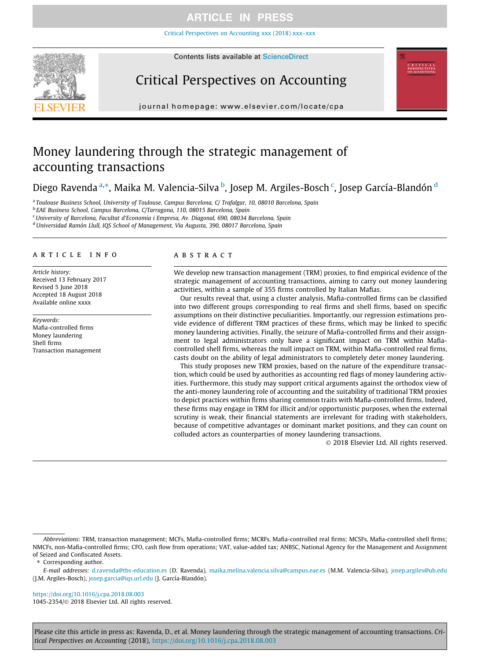[Critical Perspectives on Accounting xxx \(2018\) xxx–xxx](https://doi.org/10.1016/j.cpa.2018.08.003)



# Critical Perspectives on Accounting

journal homepage: [www.elsevier.com/locate/cpa](http://www.elsevier.com/locate/cpa)

# Money laundering through the strategic management of accounting transactions

Diego Ravenda <sup>a,</sup>\*, Maika M. Valencia-Silva <sup>b</sup>, Josep M. Argiles-Bosch <sup>c</sup>, Josep García-Blandón <sup>d</sup>

<sup>a</sup> Toulouse Business School, University of Toulouse, Campus Barcelona, C/ Trafalgar, 10, 08010 Barcelona, Spain

<sup>b</sup> EAE Business School, Campus Barcelona, C/Tarragona, 110, 08015 Barcelona, Spain

<sup>c</sup>University of Barcelona, Facultat d'Economia i Empresa, Av. Diagonal, 690, 08034 Barcelona, Spain

<sup>d</sup> Universidad Ramón Llull, IQS School of Management, Via Augusta, 390, 08017 Barcelona, Spain

#### article info

Article history: Received 13 February 2017 Revised 5 June 2018 Accepted 18 August 2018 Available online xxxx

Keywords: Mafia-controlled firms Money laundering Shell firms Transaction management

#### ABSTRACT

We develop new transaction management (TRM) proxies, to find empirical evidence of the strategic management of accounting transactions, aiming to carry out money laundering activities, within a sample of 355 firms controlled by Italian Mafias.

Our results reveal that, using a cluster analysis, Mafia-controlled firms can be classified into two different groups corresponding to real firms and shell firms, based on specific assumptions on their distinctive peculiarities. Importantly, our regression estimations provide evidence of different TRM practices of these firms, which may be linked to specific money laundering activities. Finally, the seizure of Mafia-controlled firms and their assignment to legal administrators only have a significant impact on TRM within Mafiacontrolled shell firms, whereas the null impact on TRM, within Mafia-controlled real firms, casts doubt on the ability of legal administrators to completely deter money laundering.

This study proposes new TRM proxies, based on the nature of the expenditure transaction, which could be used by authorities as accounting red flags of money laundering activities. Furthermore, this study may support critical arguments against the orthodox view of the anti-money laundering role of accounting and the suitability of traditional TRM proxies to depict practices within firms sharing common traits with Mafia-controlled firms. Indeed, these firms may engage in TRM for illicit and/or opportunistic purposes, when the external scrutiny is weak, their financial statements are irrelevant for trading with stakeholders, because of competitive advantages or dominant market positions, and they can count on colluded actors as counterparties of money laundering transactions.

2018 Elsevier Ltd. All rights reserved.

E-mail addresses: [d.ravenda@tbs-education.es](mailto:d.ravenda@tbs-education.es) (D. Ravenda), [maika.melina.valencia.silva@campus.eae.es](mailto:maika.melina.valencia.silva@campus.eae.es) (M.M. Valencia-Silva), [josep.argiles@ub.edu](mailto:josep.argiles@ub.edu      ) (J.M. Argiles-Bosch), [josep.garcia@iqs.url.edu](mailto:josep.garcia@iqs.url.edu) (J. García-Blandón).

<https://doi.org/10.1016/j.cpa.2018.08.003>

1045-2354/ 2018 Elsevier Ltd. All rights reserved.

Abbreviations: TRM, transaction management; MCFs, Mafia-controlled firms; MCRFs, Mafia-controlled real firms; MCSFs, Mafia-controlled shell firms; NMCFs, non-Mafia-controlled firms; CFO, cash flow from operations; VAT, value-added tax; ANBSC, National Agency for the Management and Assignment of Seized and Confiscated Assets.

<sup>⇑</sup> Corresponding author.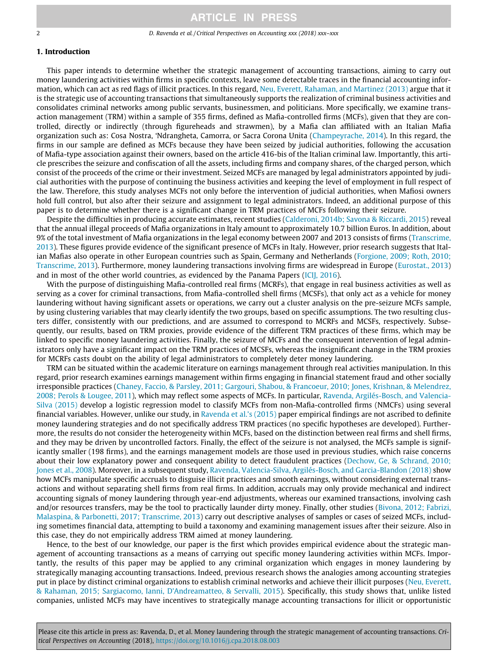## 1. Introduction

This paper intends to determine whether the strategic management of accounting transactions, aiming to carry out money laundering activities within firms in specific contexts, leave some detectable traces in the financial accounting information, which can act as red flags of illicit practices. In this regard, [Neu, Everett, Rahaman, and Martinez \(2013\)](#page-19-0) argue that it is the strategic use of accounting transactions that simultaneously supports the realization of criminal business activities and consolidates criminal networks among public servants, businessmen, and politicians. More specifically, we examine transaction management (TRM) within a sample of 355 firms, defined as Mafia-controlled firms (MCFs), given that they are controlled, directly or indirectly (through figureheads and strawmen), by a Mafia clan affiliated with an Italian Mafia organization such as: Cosa Nostra, 'Ndrangheta, Camorra, or Sacra Corona Unita ([Champeyrache, 2014](#page-18-0)). In this regard, the firms in our sample are defined as MCFs because they have been seized by judicial authorities, following the accusation of Mafia-type association against their owners, based on the article 416-bis of the Italian criminal law. Importantly, this article prescribes the seizure and confiscation of all the assets, including firms and company shares, of the charged person, which consist of the proceeds of the crime or their investment. Seized MCFs are managed by legal administrators appointed by judicial authorities with the purpose of continuing the business activities and keeping the level of employment in full respect of the law. Therefore, this study analyses MCFs not only before the intervention of judicial authorities, when Mafiosi owners hold full control, but also after their seizure and assignment to legal administrators. Indeed, an additional purpose of this paper is to determine whether there is a significant change in TRM practices of MCFs following their seizure.

Despite the difficulties in producing accurate estimates, recent studies [\(Calderoni, 2014b; Savona & Riccardi, 2015](#page-18-0)) reveal that the annual illegal proceeds of Mafia organizations in Italy amount to approximately 10.7 billion Euros. In addition, about 9% of the total investment of Mafia organizations in the legal economy between 2007 and 2013 consists of firms [\(Transcrime,](#page-20-0) [2013](#page-20-0)). These figures provide evidence of the significant presence of MCFs in Italy. However, prior research suggests that Italian Mafias also operate in other European countries such as Spain, Germany and Netherlands ([Forgione, 2009; Roth, 2010;](#page-19-0) [Transcrime, 2013\)](#page-19-0). Furthermore, money laundering transactions involving firms are widespread in Europe ([Eurostat., 2013](#page-18-0)) and in most of the other world countries, as evidenced by the Panama Papers [\(ICIJ, 2016](#page-19-0)).

With the purpose of distinguishing Mafia-controlled real firms (MCRFs), that engage in real business activities as well as serving as a cover for criminal transactions, from Mafia-controlled shell firms (MCSFs), that only act as a vehicle for money laundering without having significant assets or operations, we carry out a cluster analysis on the pre-seizure MCFs sample, by using clustering variables that may clearly identify the two groups, based on specific assumptions. The two resulting clusters differ, consistently with our predictions, and are assumed to correspond to MCRFs and MCSFs, respectively. Subsequently, our results, based on TRM proxies, provide evidence of the different TRM practices of these firms, which may be linked to specific money laundering activities. Finally, the seizure of MCFs and the consequent intervention of legal administrators only have a significant impact on the TRM practices of MCSFs, whereas the insignificant change in the TRM proxies for MCRFs casts doubt on the ability of legal administrators to completely deter money laundering.

TRM can be situated within the academic literature on earnings management through real activities manipulation. In this regard, prior research examines earnings management within firms engaging in financial statement fraud and other socially irresponsible practices [\(Chaney, Faccio, & Parsley, 2011; Gargouri, Shabou, & Francoeur, 2010; Jones, Krishnan, & Melendrez,](#page-18-0) [2008; Perols & Lougee, 2011](#page-18-0)), which may reflect some aspects of MCFs. In particular, [Ravenda, Argilés-Bosch, and Valencia-](#page-19-0)[Silva \(2015\)](#page-19-0) develop a logistic regression model to classify MCFs from non-Mafia-controlled firms (NMCFs) using several financial variables. However, unlike our study, in [Ravenda et al.'s \(2015\)](#page-19-0) paper empirical findings are not ascribed to definite money laundering strategies and do not specifically address TRM practices (no specific hypotheses are developed). Furthermore, the results do not consider the heterogeneity within MCFs, based on the distinction between real firms and shell firms, and they may be driven by uncontrolled factors. Finally, the effect of the seizure is not analysed, the MCFs sample is significantly smaller (198 firms), and the earnings management models are those used in previous studies, which raise concerns about their low explanatory power and consequent ability to detect fraudulent practices ([Dechow, Ge, & Schrand, 2010;](#page-18-0) [Jones et al., 2008\)](#page-18-0). Moreover, in a subsequent study, [Ravenda, Valencia-Silva, Argilés-Bosch, and Garcia-Blandon \(2018\)](#page-19-0) show how MCFs manipulate specific accruals to disguise illicit practices and smooth earnings, without considering external transactions and without separating shell firms from real firms. In addition, accruals may only provide mechanical and indirect accounting signals of money laundering through year-end adjustments, whereas our examined transactions, involving cash and/or resources transfers, may be the tool to practically launder dirty money. Finally, other studies ([Bivona, 2012; Fabrizi,](#page-18-0) [Malaspina, & Parbonetti, 2017; Transcrime, 2013](#page-18-0)) carry out descriptive analyses of samples or cases of seized MCFs, including sometimes financial data, attempting to build a taxonomy and examining management issues after their seizure. Also in this case, they do not empirically address TRM aimed at money laundering.

Hence, to the best of our knowledge, our paper is the first which provides empirical evidence about the strategic management of accounting transactions as a means of carrying out specific money laundering activities within MCFs. Importantly, the results of this paper may be applied to any criminal organization which engages in money laundering by strategically managing accounting transactions. Indeed, previous research shows the analogies among accounting strategies put in place by distinct criminal organizations to establish criminal networks and achieve their illicit purposes [\(Neu, Everett,](#page-19-0) [& Rahaman, 2015; Sargiacomo, Ianni, D'Andreamatteo, & Servalli, 2015](#page-19-0)). Specifically, this study shows that, unlike listed companies, unlisted MCFs may have incentives to strategically manage accounting transactions for illicit or opportunistic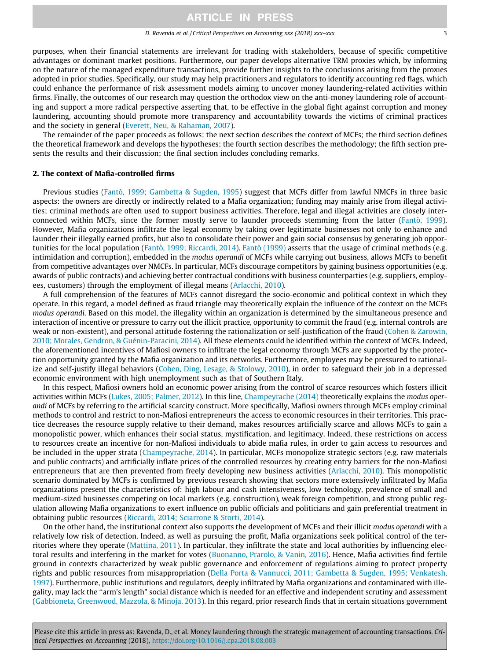purposes, when their financial statements are irrelevant for trading with stakeholders, because of specific competitive advantages or dominant market positions. Furthermore, our paper develops alternative TRM proxies which, by informing on the nature of the managed expenditure transactions, provide further insights to the conclusions arising from the proxies adopted in prior studies. Specifically, our study may help practitioners and regulators to identify accounting red flags, which could enhance the performance of risk assessment models aiming to uncover money laundering-related activities within firms. Finally, the outcomes of our research may question the orthodox view on the anti-money laundering role of accounting and support a more radical perspective asserting that, to be effective in the global fight against corruption and money laundering, accounting should promote more transparency and accountability towards the victims of criminal practices and the society in general [\(Everett, Neu, & Rahaman, 2007](#page-18-0)).

The remainder of the paper proceeds as follows: the next section describes the context of MCFs; the third section defines the theoretical framework and develops the hypotheses; the fourth section describes the methodology; the fifth section presents the results and their discussion; the final section includes concluding remarks.

#### 2. The context of Mafia-controlled firms

Previous studies [\(Fantò, 1999; Gambetta & Sugden, 1995](#page-19-0)) suggest that MCFs differ from lawful NMCFs in three basic aspects: the owners are directly or indirectly related to a Mafia organization; funding may mainly arise from illegal activities; criminal methods are often used to support business activities. Therefore, legal and illegal activities are closely interconnected within MCFs, since the former mostly serve to launder proceeds stemming from the latter ([Fantò, 1999](#page-19-0)). However, Mafia organizations infiltrate the legal economy by taking over legitimate businesses not only to enhance and launder their illegally earned profits, but also to consolidate their power and gain social consensus by generating job opportunities for the local population [\(Fantò, 1999; Riccardi, 2014\)](#page-19-0). [Fantò \(1999\)](#page-19-0) asserts that the usage of criminal methods (e.g. intimidation and corruption), embedded in the modus operandi of MCFs while carrying out business, allows MCFs to benefit from competitive advantages over NMCFs. In particular, MCFs discourage competitors by gaining business opportunities (e.g. awards of public contracts) and achieving better contractual conditions with business counterparties (e.g. suppliers, employees, customers) through the employment of illegal means [\(Arlacchi, 2010\)](#page-18-0).

A full comprehension of the features of MCFs cannot disregard the socio-economic and political context in which they operate. In this regard, a model defined as fraud triangle may theoretically explain the influence of the context on the MCFs modus operandi. Based on this model, the illegality within an organization is determined by the simultaneous presence and interaction of incentive or pressure to carry out the illicit practice, opportunity to commit the fraud (e.g. internal controls are weak or non-existent), and personal attitude fostering the rationalization or self-justification of the fraud [\(Cohen & Zarowin,](#page-18-0) [2010; Morales, Gendron, & Guénin-Paracini, 2014](#page-18-0)). All these elements could be identified within the context of MCFs. Indeed, the aforementioned incentives of Mafiosi owners to infiltrate the legal economy through MCFs are supported by the protection opportunity granted by the Mafia organization and its networks. Furthermore, employees may be pressured to rationalize and self-justify illegal behaviors ([Cohen, Ding, Lesage, & Stolowy, 2010](#page-18-0)), in order to safeguard their job in a depressed economic environment with high unemployment such as that of Southern Italy.

In this respect, Mafiosi owners hold an economic power arising from the control of scarce resources which fosters illicit activities within MCFs ([Lukes, 2005; Palmer, 2012](#page-19-0)). In this line, [Champeyrache \(2014\)](#page-18-0) theoretically explains the modus operandi of MCFs by referring to the artificial scarcity construct. More specifically, Mafiosi owners through MCFs employ criminal methods to control and restrict to non-Mafiosi entrepreneurs the access to economic resources in their territories. This practice decreases the resource supply relative to their demand, makes resources artificially scarce and allows MCFs to gain a monopolistic power, which enhances their social status, mystification, and legitimacy. Indeed, these restrictions on access to resources create an incentive for non-Mafiosi individuals to abide mafia rules, in order to gain access to resources and be included in the upper strata [\(Champeyrache, 2014\)](#page-18-0). In particular, MCFs monopolize strategic sectors (e.g. raw materials and public contracts) and artificially inflate prices of the controlled resources by creating entry barriers for the non-Mafiosi entrepreneurs that are then prevented from freely developing new business activities ([Arlacchi, 2010](#page-18-0)). This monopolistic scenario dominated by MCFs is confirmed by previous research showing that sectors more extensively infiltrated by Mafia organizations present the characteristics of: high labour and cash intensiveness, low technology, prevalence of small and medium-sized businesses competing on local markets (e.g. construction), weak foreign competition, and strong public regulation allowing Mafia organizations to exert influence on public officials and politicians and gain preferential treatment in obtaining public resources [\(Riccardi, 2014; Sciarrone & Storti, 2014\)](#page-19-0).

On the other hand, the institutional context also supports the development of MCFs and their illicit modus operandi with a relatively low risk of detection. Indeed, as well as pursuing the profit, Mafia organizations seek political control of the territories where they operate [\(Mattina, 2011](#page-19-0)). In particular, they infiltrate the state and local authorities by influencing electoral results and interfering in the market for votes [\(Buonanno, Prarolo, & Vanin, 2016\)](#page-18-0). Hence, Mafia activities find fertile ground in contexts characterized by weak public governance and enforcement of regulations aiming to protect property rights and public resources from misappropriation [\(Della Porta & Vannucci, 2011; Gambetta & Sugden, 1995; Venkatesh,](#page-18-0) [1997\)](#page-18-0). Furthermore, public institutions and regulators, deeply infiltrated by Mafia organizations and contaminated with illegality, may lack the ''arm's length" social distance which is needed for an effective and independent scrutiny and assessment ([Gabbioneta, Greenwood, Mazzola, & Minoja, 2013\)](#page-19-0). In this regard, prior research finds that in certain situations government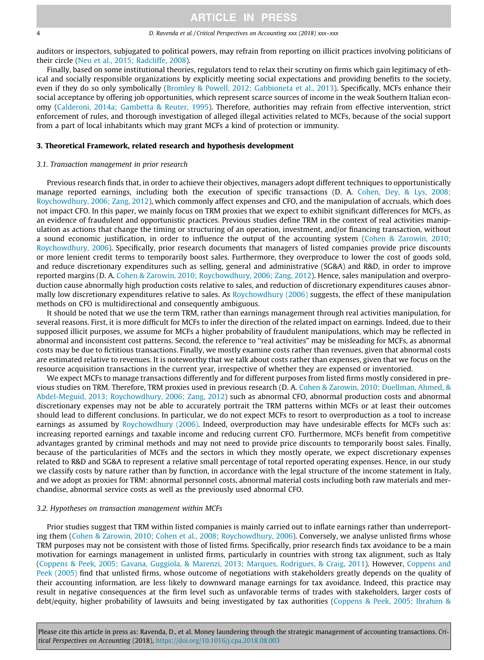#### <span id="page-3-0"></span>4 D. Ravenda et al. / Critical Perspectives on Accounting xxx (2018) xxx–xxx

auditors or inspectors, subjugated to political powers, may refrain from reporting on illicit practices involving politicians of their circle ([Neu et al., 2015; Radcliffe, 2008\)](#page-19-0).

Finally, based on some institutional theories, regulators tend to relax their scrutiny on firms which gain legitimacy of ethical and socially responsible organizations by explicitly meeting social expectations and providing benefits to the society, even if they do so only symbolically ([Bromley & Powell, 2012; Gabbioneta et al., 2013\)](#page-18-0). Specifically, MCFs enhance their social acceptance by offering job opportunities, which represent scarce sources of income in the weak Southern Italian economy [\(Calderoni, 2014a; Gambetta & Reuter, 1995\)](#page-18-0). Therefore, authorities may refrain from effective intervention, strict enforcement of rules, and thorough investigation of alleged illegal activities related to MCFs, because of the social support from a part of local inhabitants which may grant MCFs a kind of protection or immunity.

## 3. Theoretical Framework, related research and hypothesis development

### 3.1. Transaction management in prior research

Previous research finds that, in order to achieve their objectives, managers adopt different techniques to opportunistically manage reported earnings, including both the execution of specific transactions (D. A. [Cohen, Dey, & Lys, 2008;](#page-18-0) [Roychowdhury, 2006; Zang, 2012](#page-18-0)), which commonly affect expenses and CFO, and the manipulation of accruals, which does not impact CFO. In this paper, we mainly focus on TRM proxies that we expect to exhibit significant differences for MCFs, as an evidence of fraudulent and opportunistic practices. Previous studies define TRM in the context of real activities manipulation as actions that change the timing or structuring of an operation, investment, and/or financing transaction, without a sound economic justification, in order to influence the output of the accounting system [\(Cohen & Zarowin, 2010;](#page-18-0) [Roychowdhury, 2006](#page-18-0)). Specifically, prior research documents that managers of listed companies provide price discounts or more lenient credit terms to temporarily boost sales. Furthermore, they overproduce to lower the cost of goods sold, and reduce discretionary expenditures such as selling, general and administrative (SG&A) and R&D, in order to improve reported margins (D. A. [Cohen & Zarowin, 2010; Roychowdhury, 2006; Zang, 2012](#page-18-0)). Hence, sales manipulation and overproduction cause abnormally high production costs relative to sales, and reduction of discretionary expenditures causes abnor-mally low discretionary expenditures relative to sales. As [Roychowdhury \(2006\)](#page-19-0) suggests, the effect of these manipulation methods on CFO is multidirectional and consequently ambiguous.

It should be noted that we use the term TRM, rather than earnings management through real activities manipulation, for several reasons. First, it is more difficult for MCFs to infer the direction of the related impact on earnings. Indeed, due to their supposed illicit purposes, we assume for MCFs a higher probability of fraudulent manipulations, which may be reflected in abnormal and inconsistent cost patterns. Second, the reference to ''real activities" may be misleading for MCFs, as abnormal costs may be due to fictitious transactions. Finally, we mostly examine costs rather than revenues, given that abnormal costs are estimated relative to revenues. It is noteworthy that we talk about costs rather than expenses, given that we focus on the resource acquisition transactions in the current year, irrespective of whether they are expensed or inventoried.

We expect MCFs to manage transactions differently and for different purposes from listed firms mostly considered in previous studies on TRM. Therefore, TRM proxies used in previous research (D. A. [Cohen & Zarowin, 2010; Duellman, Ahmed, &](#page-18-0) [Abdel-Meguid, 2013; Roychowdhury, 2006; Zang, 2012\)](#page-18-0) such as abnormal CFO, abnormal production costs and abnormal discretionary expenses may not be able to accurately portrait the TRM patterns within MCFs or at least their outcomes should lead to different conclusions. In particular, we do not expect MCFs to resort to overproduction as a tool to increase earnings as assumed by [Roychowdhury \(2006\)](#page-19-0). Indeed, overproduction may have undesirable effects for MCFs such as: increasing reported earnings and taxable income and reducing current CFO. Furthermore, MCFs benefit from competitive advantages granted by criminal methods and may not need to provide price discounts to temporarily boost sales. Finally, because of the particularities of MCFs and the sectors in which they mostly operate, we expect discretionary expenses related to R&D and SG&A to represent a relative small percentage of total reported operating expenses. Hence, in our study we classify costs by nature rather than by function, in accordance with the legal structure of the income statement in Italy, and we adopt as proxies for TRM: abnormal personnel costs, abnormal material costs including both raw materials and merchandise, abnormal service costs as well as the previously used abnormal CFO.

#### 3.2. Hypotheses on transaction management within MCFs

Prior studies suggest that TRM within listed companies is mainly carried out to inflate earnings rather than underreporting them [\(Cohen & Zarowin, 2010; Cohen et al., 2008; Roychowdhury, 2006](#page-18-0)). Conversely, we analyse unlisted firms whose TRM purposes may not be consistent with those of listed firms. Specifically, prior research finds tax avoidance to be a main motivation for earnings management in unlisted firms, particularly in countries with strong tax alignment, such as Italy [\(Coppens & Peek, 2005; Gavana, Guggiola, & Marenzi, 2013; Marques, Rodrigues, & Craig, 2011\)](#page-18-0). However, [Coppens and](#page-18-0) [Peek \(2005\)](#page-18-0) find that unlisted firms, whose outcome of negotiations with stakeholders greatly depends on the quality of their accounting information, are less likely to downward manage earnings for tax avoidance. Indeed, this practice may result in negative consequences at the firm level such as unfavorable terms of trades with stakeholders, larger costs of debt/equity, higher probability of lawsuits and being investigated by tax authorities ([Coppens & Peek, 2005; Ibrahim &](#page-18-0)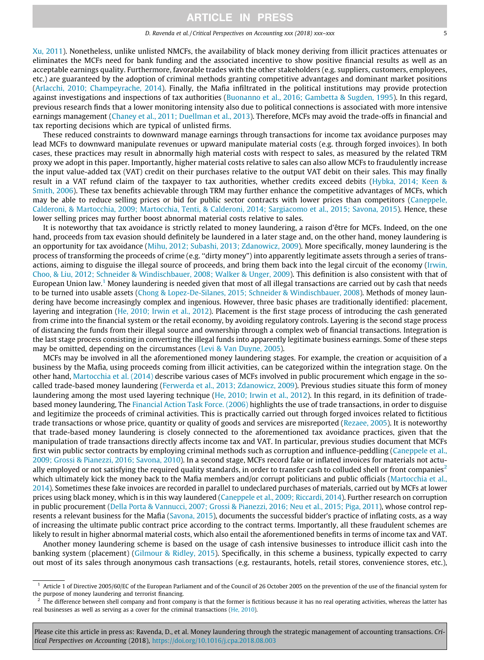[Xu, 2011\)](#page-18-0). Nonetheless, unlike unlisted NMCFs, the availability of black money deriving from illicit practices attenuates or eliminates the MCFs need for bank funding and the associated incentive to show positive financial results as well as an acceptable earnings quality. Furthermore, favorable trades with the other stakeholders (e.g. suppliers, customers, employees, etc.) are guaranteed by the adoption of criminal methods granting competitive advantages and dominant market positions ([Arlacchi, 2010; Champeyrache, 2014\)](#page-18-0). Finally, the Mafia infiltrated in the political institutions may provide protection against investigations and inspections of tax authorities ([Buonanno et al., 2016; Gambetta & Sugden, 1995](#page-18-0)). In this regard, previous research finds that a lower monitoring intensity also due to political connections is associated with more intensive earnings management ([Chaney et al., 2011; Duellman et al., 2013](#page-18-0)). Therefore, MCFs may avoid the trade-offs in financial and tax reporting decisions which are typical of unlisted firms.

These reduced constraints to downward manage earnings through transactions for income tax avoidance purposes may lead MCFs to downward manipulate revenues or upward manipulate material costs (e.g. through forged invoices). In both cases, these practices may result in abnormally high material costs with respect to sales, as measured by the related TRM proxy we adopt in this paper. Importantly, higher material costs relative to sales can also allow MCFs to fraudulently increase the input value-added tax (VAT) credit on their purchases relative to the output VAT debit on their sales. This may finally result in a VAT refund claim of the taxpayer to tax authorities, whether credits exceed debits ([Hybka, 2014; Keen &](#page-19-0) [Smith, 2006](#page-19-0)). These tax benefits achievable through TRM may further enhance the competitive advantages of MCFs, which may be able to reduce selling prices or bid for public sector contracts with lower prices than competitors [\(Caneppele,](#page-18-0) [Calderoni, & Martocchia, 2009; Martocchia, Tenti, & Calderoni, 2014; Sargiacomo et al., 2015; Savona, 2015](#page-18-0)). Hence, these lower selling prices may further boost abnormal material costs relative to sales.

It is noteworthy that tax avoidance is strictly related to money laundering, a raison d'être for MCFs. Indeed, on the one hand, proceeds from tax evasion should definitely be laundered in a later stage and, on the other hand, money laundering is an opportunity for tax avoidance [\(Mihu, 2012; Subashi, 2013; Zdanowicz, 2009\)](#page-19-0). More specifically, money laundering is the process of transforming the proceeds of crime (e.g. ''dirty money") into apparently legitimate assets through a series of transactions, aiming to disguise the illegal source of proceeds, and bring them back into the legal circuit of the economy ([Irwin,](#page-19-0) [Choo, & Liu, 2012; Schneider & Windischbauer, 2008; Walker & Unger, 2009](#page-19-0)). This definition is also consistent with that of European Union law.<sup>1</sup> Money laundering is needed given that most of all illegal transactions are carried out by cash that needs to be turned into usable assets [\(Chong & Lopez-De-Silanes, 2015; Schneider & Windischbauer, 2008\)](#page-18-0). Methods of money laundering have become increasingly complex and ingenious. However, three basic phases are traditionally identified: placement, layering and integration [\(He, 2010; Irwin et al., 2012](#page-19-0)). Placement is the first stage process of introducing the cash generated from crime into the financial system or the retail economy, by avoiding regulatory controls. Layering is the second stage process of distancing the funds from their illegal source and ownership through a complex web of financial transactions. Integration is the last stage process consisting in converting the illegal funds into apparently legitimate business earnings. Some of these steps may be omitted, depending on the circumstances [\(Levi & Van Duyne, 2005\)](#page-19-0).

MCFs may be involved in all the aforementioned money laundering stages. For example, the creation or acquisition of a business by the Mafia, using proceeds coming from illicit activities, can be categorized within the integration stage. On the other hand, [Martocchia et al. \(2014\)](#page-19-0) describe various cases of MCFs involved in public procurement which engage in the socalled trade-based money laundering [\(Ferwerda et al., 2013; Zdanowicz, 2009](#page-19-0)). Previous studies situate this form of money laundering among the most used layering technique ([He, 2010; Irwin et al., 2012\)](#page-19-0). In this regard, in its definition of tradebased money laundering, The [Financial Action Task Force. \(2006\)](#page-19-0) highlights the use of trade transactions, in order to disguise and legitimize the proceeds of criminal activities. This is practically carried out through forged invoices related to fictitious trade transactions or whose price, quantity or quality of goods and services are misreported ([Rezaee, 2005\)](#page-19-0). It is noteworthy that trade-based money laundering is closely connected to the aforementioned tax avoidance practices, given that the manipulation of trade transactions directly affects income tax and VAT. In particular, previous studies document that MCFs first win public sector contracts by employing criminal methods such as corruption and influence-peddling [\(Caneppele et al.,](#page-18-0) [2009; Grossi & Pianezzi, 2016; Savona, 2010\)](#page-18-0). In a second stage, MCFs record fake or inflated invoices for materials not actually employed or not satisfying the required quality standards, in order to transfer cash to colluded shell or front companies<sup>2</sup> which ultimately kick the money back to the Mafia members and/or corrupt politicians and public officials [\(Martocchia et al.,](#page-19-0) [2014](#page-19-0)). Sometimes these fake invoices are recorded in parallel to undeclared purchases of materials, carried out by MCFs at lower prices using black money, which is in this way laundered ([Caneppele et al., 2009; Riccardi, 2014](#page-18-0)). Further research on corruption in public procurement [\(Della Porta & Vannucci, 2007; Grossi & Pianezzi, 2016; Neu et al., 2015; Piga, 2011\)](#page-18-0), whose control represents a relevant business for the Mafia [\(Savona, 2015\)](#page-20-0), documents the successful bidder's practice of inflating costs, as a way of increasing the ultimate public contract price according to the contract terms. Importantly, all these fraudulent schemes are likely to result in higher abnormal material costs, which also entail the aforementioned benefits in terms of income tax and VAT.

Another money laundering scheme is based on the usage of cash intensive businesses to introduce illicit cash into the banking system (placement) ([Gilmour & Ridley, 2015\)](#page-19-0). Specifically, in this scheme a business, typically expected to carry out most of its sales through anonymous cash transactions (e.g. restaurants, hotels, retail stores, convenience stores, etc.),

<sup>&</sup>lt;sup>1</sup> Article 1 of Directive 2005/60/EC of the European Parliament and of the Council of 26 October 2005 on the prevention of the use of the financial system for the purpose of money laundering and terrorist financing.

 $2$  The difference between shell company and front company is that the former is fictitious because it has no real operating activities, whereas the latter has real businesses as well as serving as a cover for the criminal transactions ([He, 2010](#page-19-0)).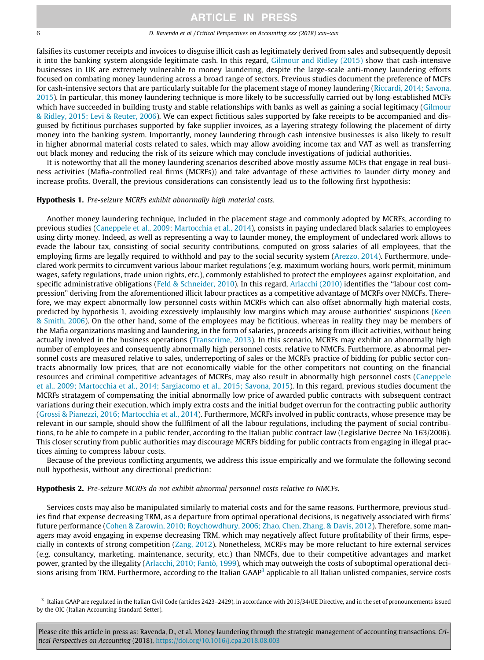#### 6 D. Ravenda et al. / Critical Perspectives on Accounting xxx (2018) xxx–xxx

falsifies its customer receipts and invoices to disguise illicit cash as legitimately derived from sales and subsequently deposit it into the banking system alongside legitimate cash. In this regard, [Gilmour and Ridley \(2015\)](#page-19-0) show that cash-intensive businesses in UK are extremely vulnerable to money laundering, despite the large-scale anti-money laundering efforts focused on combating money laundering across a broad range of sectors. Previous studies document the preference of MCFs for cash-intensive sectors that are particularly suitable for the placement stage of money laundering ([Riccardi, 2014; Savona,](#page-19-0) [2015](#page-19-0)). In particular, this money laundering technique is more likely to be successfully carried out by long-established MCFs which have succeeded in building trusty and stable relationships with banks as well as gaining a social legitimacy [\(Gilmour](#page-19-0) [& Ridley, 2015; Levi & Reuter, 2006](#page-19-0)). We can expect fictitious sales supported by fake receipts to be accompanied and disguised by fictitious purchases supported by fake supplier invoices, as a layering strategy following the placement of dirty money into the banking system. Importantly, money laundering through cash intensive businesses is also likely to result in higher abnormal material costs related to sales, which may allow avoiding income tax and VAT as well as transferring out black money and reducing the risk of its seizure which may conclude investigations of judicial authorities.

It is noteworthy that all the money laundering scenarios described above mostly assume MCFs that engage in real business activities (Mafia-controlled real firms (MCRFs)) and take advantage of these activities to launder dirty money and increase profits. Overall, the previous considerations can consistently lead us to the following first hypothesis:

### Hypothesis 1. Pre-seizure MCRFs exhibit abnormally high material costs.

Another money laundering technique, included in the placement stage and commonly adopted by MCRFs, according to previous studies [\(Caneppele et al., 2009; Martocchia et al., 2014\)](#page-18-0), consists in paying undeclared black salaries to employees using dirty money. Indeed, as well as representing a way to launder money, the employment of undeclared work allows to evade the labour tax, consisting of social security contributions, computed on gross salaries of all employees, that the employing firms are legally required to withhold and pay to the social security system [\(Arezzo, 2014](#page-18-0)). Furthermore, undeclared work permits to circumvent various labour market regulations (e.g. maximum working hours, work permit, minimum wages, safety regulations, trade union rights, etc.), commonly established to protect the employees against exploitation, and specific administrative obligations ([Feld & Schneider, 2010\)](#page-19-0). In this regard, [Arlacchi \(2010\)](#page-18-0) identifies the ''labour cost compression" deriving from the aforementioned illicit labour practices as a competitive advantage of MCRFs over NMCFs. Therefore, we may expect abnormally low personnel costs within MCRFs which can also offset abnormally high material costs, predicted by hypothesis 1, avoiding excessively implausibly low margins which may arouse authorities' suspicions ([Keen](#page-19-0) [& Smith, 2006\)](#page-19-0). On the other hand, some of the employees may be fictitious, whereas in reality they may be members of the Mafia organizations masking and laundering, in the form of salaries, proceeds arising from illicit activities, without being actually involved in the business operations ([Transcrime, 2013\)](#page-20-0). In this scenario, MCRFs may exhibit an abnormally high number of employees and consequently abnormally high personnel costs, relative to NMCFs. Furthermore, as abnormal personnel costs are measured relative to sales, underreporting of sales or the MCRFs practice of bidding for public sector contracts abnormally low prices, that are not economically viable for the other competitors not counting on the financial resources and criminal competitive advantages of MCRFs, may also result in abnormally high personnel costs [\(Caneppele](#page-18-0) [et al., 2009; Martocchia et al., 2014; Sargiacomo et al., 2015; Savona, 2015](#page-18-0)). In this regard, previous studies document the MCRFs stratagem of compensating the initial abnormally low price of awarded public contracts with subsequent contract variations during their execution, which imply extra costs and the initial budget overrun for the contracting public authority [\(Grossi & Pianezzi, 2016; Martocchia et al., 2014\)](#page-19-0). Furthermore, MCRFs involved in public contracts, whose presence may be relevant in our sample, should show the fullfilment of all the labour regulations, including the payment of social contributions, to be able to compete in a public tender, according to the Italian public contract law (Legislative Decree No 163/2006). This closer scrutiny from public authorities may discourage MCRFs bidding for public contracts from engaging in illegal practices aiming to compress labour costs.

Because of the previous conflicting arguments, we address this issue empirically and we formulate the following second null hypothesis, without any directional prediction:

Hypothesis 2. Pre-seizure MCRFs do not exhibit abnormal personnel costs relative to NMCFs.

Services costs may also be manipulated similarly to material costs and for the same reasons. Furthermore, previous studies find that expense decreasing TRM, as a departure from optimal operational decisions, is negatively associated with firms' future performance [\(Cohen & Zarowin, 2010; Roychowdhury, 2006; Zhao, Chen, Zhang, & Davis, 2012\)](#page-18-0). Therefore, some managers may avoid engaging in expense decreasing TRM, which may negatively affect future profitability of their firms, especially in contexts of strong competition [\(Zang, 2012\)](#page-20-0). Nonetheless, MCRFs may be more reluctant to hire external services (e.g. consultancy, marketing, maintenance, security, etc.) than NMCFs, due to their competitive advantages and market power, granted by the illegality ([Arlacchi, 2010; Fantò, 1999](#page-18-0)), which may outweigh the costs of suboptimal operational decisions arising from TRM. Furthermore, according to the Italian GAAP<sup>3</sup> applicable to all Italian unlisted companies, service costs

<sup>&</sup>lt;sup>3</sup> Italian GAAP are regulated in the Italian Civil Code (articles 2423–2429), in accordance with 2013/34/UE Directive, and in the set of pronouncements issued by the OIC (Italian Accounting Standard Setter).

Please cite this article in press as: Ravenda, D., et al. Money laundering through the strategic management of accounting transactions. Critical Perspectives on Accounting (2018), <https://doi.org/10.1016/j.cpa.2018.08.003>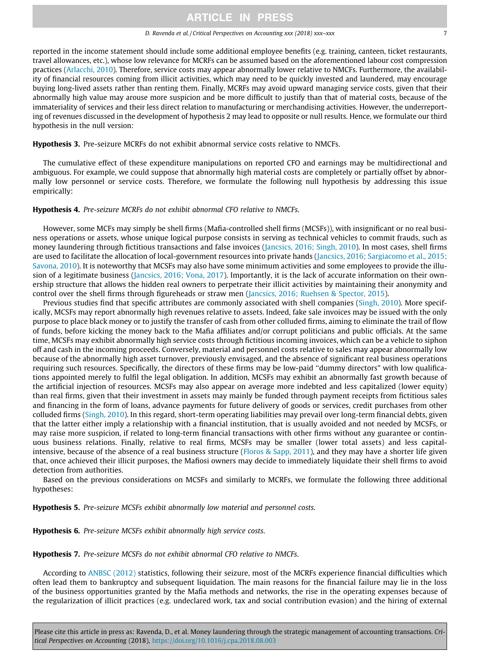#### D. Ravenda et al. / Critical Perspectives on Accounting xxx (2018) xxx–xxx 7

reported in the income statement should include some additional employee benefits (e.g. training, canteen, ticket restaurants, travel allowances, etc.), whose low relevance for MCRFs can be assumed based on the aforementioned labour cost compression practices ([Arlacchi, 2010](#page-18-0)). Therefore, service costs may appear abnormally lower relative to NMCFs. Furthermore, the availability of financial resources coming from illicit activities, which may need to be quickly invested and laundered, may encourage buying long-lived assets rather than renting them. Finally, MCRFs may avoid upward managing service costs, given that their abnormally high value may arouse more suspicion and be more difficult to justify than that of material costs, because of the immateriality of services and their less direct relation to manufacturing or merchandising activities. However, the underreporting of revenues discussed in the development of hypothesis 2 may lead to opposite or null results. Hence, we formulate our third hypothesis in the null version:

Hypothesis 3. Pre-seizure MCRFs do not exhibit abnormal service costs relative to NMCFs.

The cumulative effect of these expenditure manipulations on reported CFO and earnings may be multidirectional and ambiguous. For example, we could suppose that abnormally high material costs are completely or partially offset by abnormally low personnel or service costs. Therefore, we formulate the following null hypothesis by addressing this issue empirically:

#### Hypothesis 4. Pre-seizure MCRFs do not exhibit abnormal CFO relative to NMCFs.

However, some MCFs may simply be shell firms (Mafia-controlled shell firms (MCSFs)), with insignificant or no real business operations or assets, whose unique logical purpose consists in serving as technical vehicles to commit frauds, such as money laundering through fictitious transactions and false invoices [\(Jancsics, 2016; Singh, 2010](#page-19-0)). In most cases, shell firms are used to facilitate the allocation of local-government resources into private hands ([Jancsics, 2016; Sargiacomo et al., 2015;](#page-19-0) [Savona, 2010](#page-19-0)). It is noteworthy that MCSFs may also have some minimum activities and some employees to provide the illusion of a legitimate business ([Jancsics, 2016; Vona, 2017\)](#page-19-0). Importantly, it is the lack of accurate information on their ownership structure that allows the hidden real owners to perpetrate their illicit activities by maintaining their anonymity and control over the shell firms through figureheads or straw men ([Jancsics, 2016; Ruehsen & Spector, 2015\)](#page-19-0).

Previous studies find that specific attributes are commonly associated with shell companies ([Singh, 2010\)](#page-20-0). More specifically, MCSFs may report abnormally high revenues relative to assets. Indeed, fake sale invoices may be issued with the only purpose to place black money or to justify the transfer of cash from other colluded firms, aiming to eliminate the trail of flow of funds, before kicking the money back to the Mafia affiliates and/or corrupt politicians and public officials. At the same time, MCSFs may exhibit abnormally high service costs through fictitious incoming invoices, which can be a vehicle to siphon off and cash in the incoming proceeds. Conversely, material and personnel costs relative to sales may appear abnormally low because of the abnormally high asset turnover, previously envisaged, and the absence of significant real business operations requiring such resources. Specifically, the directors of these firms may be low-paid ''dummy directors" with low qualifications appointed merely to fulfil the legal obligation. In addition, MCSFs may exhibit an abnormally fast growth because of the artificial injection of resources. MCSFs may also appear on average more indebted and less capitalized (lower equity) than real firms, given that their investment in assets may mainly be funded through payment receipts from fictitious sales and financing in the form of loans, advance payments for future delivery of goods or services, credit purchases from other colluded firms ([Singh, 2010\)](#page-20-0). In this regard, short-term operating liabilities may prevail over long-term financial debts, given that the latter either imply a relationship with a financial institution, that is usually avoided and not needed by MCSFs, or may raise more suspicion, if related to long-term financial transactions with other firms without any guarantee or continuous business relations. Finally, relative to real firms, MCSFs may be smaller (lower total assets) and less capital-intensive, because of the absence of a real business structure ([Floros & Sapp, 2011](#page-19-0)), and they may have a shorter life given that, once achieved their illicit purposes, the Mafiosi owners may decide to immediately liquidate their shell firms to avoid detection from authorities.

Based on the previous considerations on MCSFs and similarly to MCRFs, we formulate the following three additional hypotheses:

Hypothesis 5. Pre-seizure MCSFs exhibit abnormally low material and personnel costs.

Hypothesis 6. Pre-seizure MCSFs exhibit abnormally high service costs.

Hypothesis 7. Pre-seizure MCSFs do not exhibit abnormal CFO relative to NMCFs.

According to [ANBSC \(2012\)](#page-18-0) statistics, following their seizure, most of the MCRFs experience financial difficulties which often lead them to bankruptcy and subsequent liquidation. The main reasons for the financial failure may lie in the loss of the business opportunities granted by the Mafia methods and networks, the rise in the operating expenses because of the regularization of illicit practices (e.g. undeclared work, tax and social contribution evasion) and the hiring of external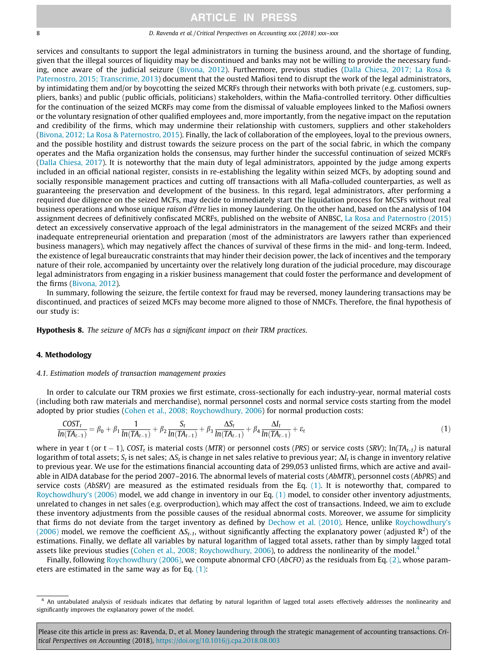<span id="page-7-0"></span>8 D. Ravenda et al. / Critical Perspectives on Accounting xxx (2018) xxx–xxx

services and consultants to support the legal administrators in turning the business around, and the shortage of funding, given that the illegal sources of liquidity may be discontinued and banks may not be willing to provide the necessary funding, once aware of the judicial seizure ([Bivona, 2012](#page-18-0)). Furthermore, previous studies [\(Dalla Chiesa, 2017; La Rosa &](#page-18-0) [Paternostro, 2015; Transcrime, 2013\)](#page-18-0) document that the ousted Mafiosi tend to disrupt the work of the legal administrators, by intimidating them and/or by boycotting the seized MCRFs through their networks with both private (e.g. customers, suppliers, banks) and public (public officials, politicians) stakeholders, within the Mafia-controlled territory. Other difficulties for the continuation of the seized MCRFs may come from the dismissal of valuable employees linked to the Mafiosi owners or the voluntary resignation of other qualified employees and, more importantly, from the negative impact on the reputation and credibility of the firms, which may undermine their relationship with customers, suppliers and other stakeholders [\(Bivona, 2012; La Rosa & Paternostro, 2015\)](#page-18-0). Finally, the lack of collaboration of the employees, loyal to the previous owners, and the possible hostility and distrust towards the seizure process on the part of the social fabric, in which the company operates and the Mafia organization holds the consensus, may further hinder the successful continuation of seized MCRFs [\(Dalla Chiesa, 2017](#page-18-0)). It is noteworthy that the main duty of legal administrators, appointed by the judge among experts included in an official national register, consists in re-establishing the legality within seized MCFs, by adopting sound and socially responsible management practices and cutting off transactions with all Mafia-colluded counterparties, as well as guaranteeing the preservation and development of the business. In this regard, legal administrators, after performing a required due diligence on the seized MCFs, may decide to immediately start the liquidation process for MCSFs without real business operations and whose unique raison d'être lies in money laundering. On the other hand, based on the analysis of 104 assignment decrees of definitively confiscated MCRFs, published on the website of ANBSC, [La Rosa and Paternostro \(2015\)](#page-19-0) detect an excessively conservative approach of the legal administrators in the management of the seized MCRFs and their inadequate entrepreneurial orientation and preparation (most of the administrators are lawyers rather than experienced business managers), which may negatively affect the chances of survival of these firms in the mid- and long-term. Indeed, the existence of legal bureaucratic constraints that may hinder their decision power, the lack of incentives and the temporary nature of their role, accompanied by uncertainty over the relatively long duration of the judicial procedure, may discourage legal administrators from engaging in a riskier business management that could foster the performance and development of the firms [\(Bivona, 2012\)](#page-18-0).

In summary, following the seizure, the fertile context for fraud may be reversed, money laundering transactions may be discontinued, and practices of seized MCFs may become more aligned to those of NMCFs. Therefore, the final hypothesis of our study is:

Hypothesis 8. The seizure of MCFs has a significant impact on their TRM practices.

### 4. Methodology

### 4.1. Estimation models of transaction management proxies

In order to calculate our TRM proxies we first estimate, cross-sectionally for each industry-year, normal material costs (including both raw materials and merchandise), normal personnel costs and normal service costs starting from the model adopted by prior studies [\(Cohen et al., 2008; Roychowdhury, 2006\)](#page-18-0) for normal production costs:

$$
\frac{\text{COST}_{t}}{\ln(\text{TA}_{t-1})} = \beta_0 + \beta_1 \frac{1}{\ln(\text{TA}_{t-1})} + \beta_2 \frac{S_t}{\ln(\text{TA}_{t-1})} + \beta_3 \frac{\Delta S_t}{\ln(\text{TA}_{t-1})} + \beta_4 \frac{\Delta I_t}{\ln(\text{TA}_{t-1})} + \varepsilon_t
$$
\n(1)

where in year t (or t – 1), COST<sub>t</sub> is material costs (MTR) or personnel costs (PRS) or service costs (SRV);  $\ln(TA_{t-1})$  is natural logarithm of total assets; S<sub>t</sub> is net sales;  $\Delta S_t$  is change in net sales relative to previous year;  $\Delta I_t$  is change in inventory relative to previous year. We use for the estimations financial accounting data of 299,053 unlisted firms, which are active and available in AIDA database for the period 2007–2016. The abnormal levels of material costs (AbMTR), personnel costs (AbPRS) and service costs (AbSRV) are measured as the estimated residuals from the Eq.  $(1)$ . It is noteworthy that, compared to [Roychowdhury's \(2006\)](#page-19-0) model, we add change in inventory in our Eq. (1) model, to consider other inventory adjustments, unrelated to changes in net sales (e.g. overproduction), which may affect the cost of transactions. Indeed, we aim to exclude these inventory adjustments from the possible causes of the residual abnormal costs. Moreover, we assume for simplicity that firms do not deviate from the target inventory as defined by [Dechow et al. \(2010\).](#page-18-0) Hence, unlike [Roychowdhury's](#page-19-0) [\(2006\)](#page-19-0) model, we remove the coefficient  $\Delta S_{t-1}$ , without significantly affecting the explanatory power (adjusted R<sup>2</sup>) of the estimations. Finally, we deflate all variables by natural logarithm of lagged total assets, rather than by simply lagged total assets like previous studies [\(Cohen et al., 2008; Roychowdhury, 2006\)](#page-18-0), to address the nonlinearity of the model.<sup>4</sup>

Finally, following [Roychowdhury \(2006\)](#page-19-0), we compute abnormal CFO (AbCFO) as the residuals from Eq. (2), whose parameters are estimated in the same way as for Eq.  $(1)$ :

<sup>4</sup> An untabulated analysis of residuals indicates that deflating by natural logarithm of lagged total assets effectively addresses the nonlinearity and significantly improves the explanatory power of the model.

Please cite this article in press as: Ravenda, D., et al. Money laundering through the strategic management of accounting transactions. Critical Perspectives on Accounting (2018), <https://doi.org/10.1016/j.cpa.2018.08.003>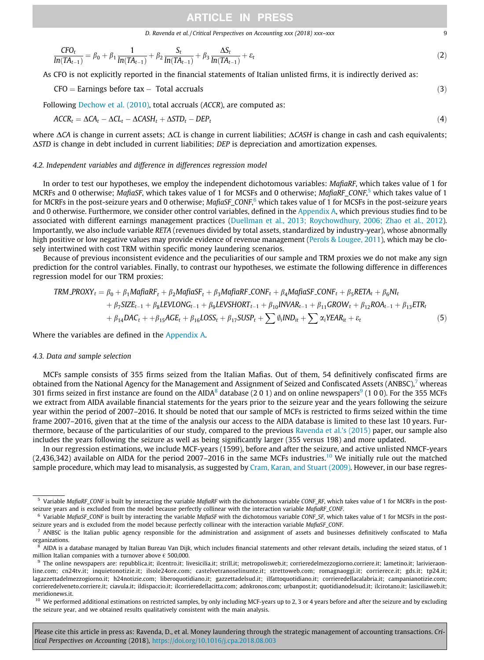## **ARTICLE IN PRESS** D. Ravenda et al. / Critical Perspectives on Accounting xxx (2018) xxx–xxx 9  $\qquad \qquad$  9

<span id="page-8-0"></span>
$$
\frac{\text{CFO}_{t}}{\ln(\text{TA}_{t-1})} = \beta_0 + \beta_1 \frac{1}{\ln(\text{TA}_{t-1})} + \beta_2 \frac{S_t}{\ln(\text{TA}_{t-1})} + \beta_3 \frac{\Delta S_t}{\ln(\text{TA}_{t-1})} + \varepsilon_t \tag{2}
$$

As CFO is not explicitly reported in the financial statements of Italian unlisted firms, it is indirectly derived as:

 $CFO = Earnings before tax - Total accruals$  (3)

Following [Dechow et al. \(2010\),](#page-18-0) total accruals (ACCR), are computed as:

$$
ACCR_t = \Delta CA_t - \Delta CL_t - \Delta CASH_t + \Delta STD_t - DEP_t \tag{4}
$$

where  $\Delta CA$  is change in current assets;  $\Delta CL$  is change in current liabilities;  $\Delta CASH$  is change in cash and cash equivalents;  $\Delta STD$  is change in debt included in current liabilities; DEP is depreciation and amortization expenses.

### 4.2. Independent variables and difference in differences regression model

In order to test our hypotheses, we employ the independent dichotomous variables: MafiaRF, which takes value of 1 for MCRFs and 0 otherwise; MafiaSF, which takes value of 1 for MCSFs and 0 otherwise; MafiaRF\_CONF,<sup>5</sup> which takes value of 1 for MCRFs in the post-seizure years and 0 otherwise; MafiaSF\_CONF, $^6$  which takes value of 1 for MCSFs in the post-seizure years and 0 otherwise. Furthermore, we consider other control variables, defined in the [Appendix A,](#page-17-0) which previous studies find to be associated with different earnings management practices ([Duellman et al., 2013; Roychowdhury, 2006; Zhao et al., 2012](#page-18-0)). Importantly, we also include variable RETA (revenues divided by total assets, standardized by industry-year), whose abnormally high positive or low negative values may provide evidence of revenue management [\(Perols & Lougee, 2011\)](#page-19-0), which may be closely intertwined with cost TRM within specific money laundering scenarios.

Because of previous inconsistent evidence and the peculiarities of our sample and TRM proxies we do not make any sign prediction for the control variables. Finally, to contrast our hypotheses, we estimate the following difference in differences regression model for our TRM proxies:

$$
TRM\_PROXY_t = \beta_0 + \beta_1 M \text{afiaRF}_t + \beta_2 M \text{afiaSF}_t + \beta_3 M \text{afiaRF}\_\text{CDNF}_t + \beta_4 M \text{afiaSF}\_\text{CDNF}_t + \beta_5 R \text{ETA}_t + \beta_6 N I_t
$$
  
+  $\beta_7 S I Z E_{t-1} + \beta_8 L \text{EVLONG}_{t-1} + \beta_9 L \text{EVSHORT}_{t-1} + \beta_{10} INVAR_{t-1} + \beta_{11} \text{GROW}_t + \beta_{12} R \text{OA}_{t-1} + \beta_{13} \text{ETR}_t$   
+  $\beta_{14} D A C_t + + \beta_{15} A G E_t + \beta_{16} LOS_t + \beta_{17} SUBt + \sum \emptyset_i IND_{it} + \sum \alpha_i Y E A R_{it} + \varepsilon_t$  (5)

Where the variables are defined in the [Appendix A.](#page-17-0)

#### 4.3. Data and sample selection

MCFs sample consists of 355 firms seized from the Italian Mafias. Out of them, 54 definitively confiscated firms are obtained from the National Agency for the Management and Assignment of Seized and Confiscated Assets (ANBSC), $7$  whereas 301 firms seized in first instance are found on the AIDA<sup>8</sup> database (201) and on online newspapers<sup>9</sup> (100). For the 355 MCFs we extract from AIDA available financial statements for the years prior to the seizure year and the years following the seizure year within the period of 2007–2016. It should be noted that our sample of MCFs is restricted to firms seized within the time frame 2007–2016, given that at the time of the analysis our access to the AIDA database is limited to these last 10 years. Furthermore, because of the particularities of our study, compared to the previous [Ravenda et al.'s \(2015\)](#page-19-0) paper, our sample also includes the years following the seizure as well as being significantly larger (355 versus 198) and more updated.

In our regression estimations, we include MCF-years (1599), before and after the seizure, and active unlisted NMCF-years  $(2,436,342)$  available on AIDA for the period 2007–2016 in the same MCFs industries.<sup>10</sup> We initially rule out the matched sample procedure, which may lead to misanalysis, as suggested by [Cram, Karan, and Stuart \(2009\)](#page-18-0). However, in our base regres-

<sup>&</sup>lt;sup>5</sup> Variable MafiaRF\_CONF is built by interacting the variable MafiaRF with the dichotomous variable CONF\_RF, which takes value of 1 for MCRFs in the postseizure years and is excluded from the model because perfectly collinear with the interaction variable MafiaRF\_CONF.

 $6$  Variable MafiaSF\_CONF is built by interacting the variable MafiaSF with the dichotomous variable CONF\_SF, which takes value of 1 for MCSFs in the postseizure years and is excluded from the model because perfectly collinear with the interaction variable MafiaSF\_CONF.

<sup>7</sup> ANBSC is the Italian public agency responsible for the administration and assignment of assets and businesses definitively confiscated to Mafia organizations.

<sup>8</sup> AIDA is a database managed by Italian Bureau Van Dijk, which includes financial statements and other relevant details, including the seized status, of 1 million Italian companies with a turnover above  $\epsilon$  500,000.

 $9$  The online newspapers are: repubblica.it; ilcentro.it; livesicilia.it; strill.it; metropolisweb.it; corrieredelmezzogiorno.corriere.it; lametino.it; larivieraonline.com; cn24tv.it; inquietonotizie.it; ilsole24ore.com; castelvetranoselinunte.it; strettoweb.com; romagnaoggi.it; corrierece.it; gds.it; tp24.it; lagazzettadelmezzogiorno.it; h24notizie.com; liberoquotidiano.it; gazzettadelsud.it; ilfattoquotidiano.it; corrieredellacalabria.it; campanianotizie.com; corrieredelveneto.corriere.it; ciavula.it; ildispaccio.it; ilcorrieredellacitta.com; adnkronos.com; urbanpost.it; quotidianodelsud.it; ilcirotano.it; lasiciliaweb.it; meridionews.it.

<sup>&</sup>lt;sup>10</sup> We performed additional estimations on restricted samples, by only including MCF-years up to 2, 3 or 4 years before and after the seizure and by excluding the seizure year, and we obtained results qualitatively consistent with the main analysis.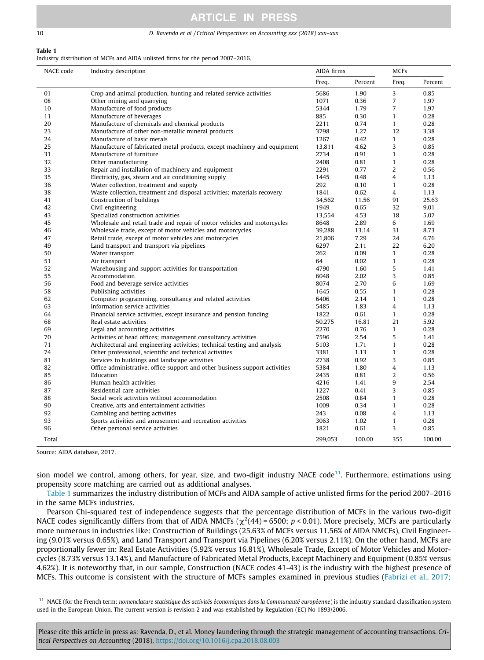#### 10 D. Ravenda et al. / Critical Perspectives on Accounting xxx (2018) xxx–xxx

## Table 1

Industry distribution of MCFs and AIDA unlisted firms for the period 2007–2016.

| Freq.<br>Percent<br>Freq.<br>3<br>01<br>Crop and animal production, hunting and related service activities<br>5686<br>1.90<br>$\overline{7}$<br>08<br>Other mining and quarrying<br>1071<br>0.36<br>$\overline{7}$<br>Manufacture of food products<br>5344<br>10<br>1.79<br>Manufacture of beverages<br>885<br>$\mathbf{1}$<br>11<br>0.30<br>20<br>Manufacture of chemicals and chemical products<br>2211<br>0.74<br>$\mathbf{1}$<br>23<br>Manufacture of other non-metallic mineral products<br>3798<br>1.27<br>12<br>$\mathbf{1}$<br>24<br>Manufacture of basic metals<br>1267<br>0.42<br>25<br>3<br>Manufacture of fabricated metal products, except machinery and equipment<br>4.62<br>13,811<br>31<br>Manufacture of furniture<br>2734<br>0.91<br>$\mathbf{1}$<br>32<br>2408<br>$\mathbf{1}$<br>Other manufacturing<br>0.81 | Percent<br>0.85<br>1.97<br>1.97<br>0.28<br>0.28<br>3.38<br>0.28<br>0.85<br>0.28<br>0.28 |
|----------------------------------------------------------------------------------------------------------------------------------------------------------------------------------------------------------------------------------------------------------------------------------------------------------------------------------------------------------------------------------------------------------------------------------------------------------------------------------------------------------------------------------------------------------------------------------------------------------------------------------------------------------------------------------------------------------------------------------------------------------------------------------------------------------------------------------|-----------------------------------------------------------------------------------------|
|                                                                                                                                                                                                                                                                                                                                                                                                                                                                                                                                                                                                                                                                                                                                                                                                                                  |                                                                                         |
|                                                                                                                                                                                                                                                                                                                                                                                                                                                                                                                                                                                                                                                                                                                                                                                                                                  |                                                                                         |
|                                                                                                                                                                                                                                                                                                                                                                                                                                                                                                                                                                                                                                                                                                                                                                                                                                  |                                                                                         |
|                                                                                                                                                                                                                                                                                                                                                                                                                                                                                                                                                                                                                                                                                                                                                                                                                                  |                                                                                         |
|                                                                                                                                                                                                                                                                                                                                                                                                                                                                                                                                                                                                                                                                                                                                                                                                                                  |                                                                                         |
|                                                                                                                                                                                                                                                                                                                                                                                                                                                                                                                                                                                                                                                                                                                                                                                                                                  |                                                                                         |
|                                                                                                                                                                                                                                                                                                                                                                                                                                                                                                                                                                                                                                                                                                                                                                                                                                  |                                                                                         |
|                                                                                                                                                                                                                                                                                                                                                                                                                                                                                                                                                                                                                                                                                                                                                                                                                                  |                                                                                         |
|                                                                                                                                                                                                                                                                                                                                                                                                                                                                                                                                                                                                                                                                                                                                                                                                                                  |                                                                                         |
|                                                                                                                                                                                                                                                                                                                                                                                                                                                                                                                                                                                                                                                                                                                                                                                                                                  |                                                                                         |
|                                                                                                                                                                                                                                                                                                                                                                                                                                                                                                                                                                                                                                                                                                                                                                                                                                  |                                                                                         |
| 33<br>Repair and installation of machinery and equipment<br>2291<br>$\overline{2}$<br>0.77                                                                                                                                                                                                                                                                                                                                                                                                                                                                                                                                                                                                                                                                                                                                       | 0.56                                                                                    |
| 35<br>Electricity, gas, steam and air conditioning supply<br>1445<br>0.48<br>$\overline{4}$                                                                                                                                                                                                                                                                                                                                                                                                                                                                                                                                                                                                                                                                                                                                      | 1.13                                                                                    |
| 36<br>Water collection, treatment and supply<br>292<br>0.10<br>$\mathbf{1}$                                                                                                                                                                                                                                                                                                                                                                                                                                                                                                                                                                                                                                                                                                                                                      | 0.28                                                                                    |
| 38<br>Waste collection, treatment and disposal activities; materials recovery<br>1841<br>0.62<br>4                                                                                                                                                                                                                                                                                                                                                                                                                                                                                                                                                                                                                                                                                                                               | 1.13                                                                                    |
| 41<br>Construction of buildings<br>34.562<br>11.56<br>91                                                                                                                                                                                                                                                                                                                                                                                                                                                                                                                                                                                                                                                                                                                                                                         | 25.63                                                                                   |
| Civil engineering<br>1949<br>0.65<br>42<br>32                                                                                                                                                                                                                                                                                                                                                                                                                                                                                                                                                                                                                                                                                                                                                                                    | 9.01                                                                                    |
| Specializd construction activities<br>43<br>13,554<br>4.53<br>18                                                                                                                                                                                                                                                                                                                                                                                                                                                                                                                                                                                                                                                                                                                                                                 | 5.07                                                                                    |
| 45<br>2.89<br>Wholesale and retail trade and repair of motor vehicles and motorcycles<br>8648<br>6                                                                                                                                                                                                                                                                                                                                                                                                                                                                                                                                                                                                                                                                                                                               | 1.69                                                                                    |
| Wholesale trade, except of motor vehicles and motorcycles<br>46<br>39.288<br>13.14<br>31                                                                                                                                                                                                                                                                                                                                                                                                                                                                                                                                                                                                                                                                                                                                         | 8.73                                                                                    |
| 47<br>Retail trade, except of motor vehicles and motorcycles<br>21,806<br>7.29<br>24                                                                                                                                                                                                                                                                                                                                                                                                                                                                                                                                                                                                                                                                                                                                             | 6.76                                                                                    |
| 49<br>Land transport and transport via pipelines<br>6297<br>22<br>2.11                                                                                                                                                                                                                                                                                                                                                                                                                                                                                                                                                                                                                                                                                                                                                           | 6.20                                                                                    |
| 50<br>Water transport<br>262<br>0.09<br>$\mathbf{1}$                                                                                                                                                                                                                                                                                                                                                                                                                                                                                                                                                                                                                                                                                                                                                                             | 0.28                                                                                    |
| 51<br>Air transport<br>64<br>0.02<br>$\mathbf{1}$                                                                                                                                                                                                                                                                                                                                                                                                                                                                                                                                                                                                                                                                                                                                                                                | 0.28                                                                                    |
| 4790<br>5<br>52<br>Warehousing and support activities for transportation<br>1.60                                                                                                                                                                                                                                                                                                                                                                                                                                                                                                                                                                                                                                                                                                                                                 | 1.41                                                                                    |
| 3<br>55<br>Accommodation<br>6048<br>2.02                                                                                                                                                                                                                                                                                                                                                                                                                                                                                                                                                                                                                                                                                                                                                                                         | 0.85                                                                                    |
| 56<br>Food and beverage service activities<br>8074<br>6<br>2.70                                                                                                                                                                                                                                                                                                                                                                                                                                                                                                                                                                                                                                                                                                                                                                  | 1.69                                                                                    |
| 58<br>Publishing activities<br>1645<br>$\mathbf{1}$<br>0.55                                                                                                                                                                                                                                                                                                                                                                                                                                                                                                                                                                                                                                                                                                                                                                      | 0.28                                                                                    |
| $\mathbf{1}$<br>62<br>Computer programming, consultancy and related activities<br>6406<br>2.14                                                                                                                                                                                                                                                                                                                                                                                                                                                                                                                                                                                                                                                                                                                                   | 0.28                                                                                    |
| 63<br>Information service activities<br>1.83<br>$\overline{4}$<br>5485                                                                                                                                                                                                                                                                                                                                                                                                                                                                                                                                                                                                                                                                                                                                                           | 1.13                                                                                    |
| 1822<br>$\mathbf{1}$<br>64<br>Financial service activities, except insurance and pension funding<br>0.61                                                                                                                                                                                                                                                                                                                                                                                                                                                                                                                                                                                                                                                                                                                         | 0.28                                                                                    |
| 21<br>68<br>Real estate activities<br>50,275<br>16.81                                                                                                                                                                                                                                                                                                                                                                                                                                                                                                                                                                                                                                                                                                                                                                            | 5.92                                                                                    |
| 69<br>Legal and accounting activities<br>2270<br>0.76<br>$\mathbf{1}$                                                                                                                                                                                                                                                                                                                                                                                                                                                                                                                                                                                                                                                                                                                                                            | 0.28                                                                                    |
| Activities of head offices; management consultancy activities<br>7596<br>5<br>70<br>2.54                                                                                                                                                                                                                                                                                                                                                                                                                                                                                                                                                                                                                                                                                                                                         | 1.41                                                                                    |
| Architectural and engineering activities; technical testing and analysis<br>5103<br>71<br>1.71<br>$\mathbf{1}$                                                                                                                                                                                                                                                                                                                                                                                                                                                                                                                                                                                                                                                                                                                   | 0.28                                                                                    |
| 74<br>Other professional, scientific and technical activities<br>3381<br>1.13<br>$\mathbf{1}$                                                                                                                                                                                                                                                                                                                                                                                                                                                                                                                                                                                                                                                                                                                                    | 0.28                                                                                    |
| 3<br>81<br>Services to buildings and landscape activities<br>2738<br>0.92                                                                                                                                                                                                                                                                                                                                                                                                                                                                                                                                                                                                                                                                                                                                                        | 0.85                                                                                    |
| 5384<br>82<br>Office administrative, office support and other business support activities<br>1.80<br>4                                                                                                                                                                                                                                                                                                                                                                                                                                                                                                                                                                                                                                                                                                                           | 1.13                                                                                    |
| $\overline{2}$<br>85<br>Education<br>2435<br>0.81                                                                                                                                                                                                                                                                                                                                                                                                                                                                                                                                                                                                                                                                                                                                                                                | 0.56                                                                                    |
| 9<br>86<br>Human health activities<br>4216<br>1.41                                                                                                                                                                                                                                                                                                                                                                                                                                                                                                                                                                                                                                                                                                                                                                               | 2.54                                                                                    |
| 1227<br>3<br>87<br>Residential care activities<br>0.41                                                                                                                                                                                                                                                                                                                                                                                                                                                                                                                                                                                                                                                                                                                                                                           | 0.85                                                                                    |
| 88<br>Social work activities without accommodation<br>2508<br>$\mathbf{1}$<br>0.84                                                                                                                                                                                                                                                                                                                                                                                                                                                                                                                                                                                                                                                                                                                                               | 0.28                                                                                    |
| 90<br>1009<br>$\mathbf{1}$<br>Creative, arts and entertainment activities<br>0.34                                                                                                                                                                                                                                                                                                                                                                                                                                                                                                                                                                                                                                                                                                                                                | 0.28                                                                                    |
| 92<br>243<br>0.08<br>$\overline{4}$<br>Gambling and betting activities                                                                                                                                                                                                                                                                                                                                                                                                                                                                                                                                                                                                                                                                                                                                                           | 1.13                                                                                    |
| 93<br>Sports activities and amusement and recreation activities<br>3063<br>1.02<br>$\mathbf{1}$                                                                                                                                                                                                                                                                                                                                                                                                                                                                                                                                                                                                                                                                                                                                  | 0.28                                                                                    |
| 96<br>1821<br>3<br>Other personal service activities<br>0.61                                                                                                                                                                                                                                                                                                                                                                                                                                                                                                                                                                                                                                                                                                                                                                     | 0.85                                                                                    |
| 299.053<br>100.00<br>355<br>Total                                                                                                                                                                                                                                                                                                                                                                                                                                                                                                                                                                                                                                                                                                                                                                                                | 100.00                                                                                  |

Source: AIDA database, 2017.

sion model we control, among others, for year, size, and two-digit industry NACE code<sup>11</sup>. Furthermore, estimations using propensity score matching are carried out as additional analyses.

Table 1 summarizes the industry distribution of MCFs and AIDA sample of active unlisted firms for the period 2007–2016 in the same MCFs industries.

Pearson Chi-squared test of independence suggests that the percentage distribution of MCFs in the various two-digit NACE codes significantly differs from that of AIDA NMCFs ( $\chi^2$ (44) = 6500; p < 0.01). More precisely, MCFs are particularly more numerous in industries like: Construction of Buildings (25.63% of MCFs versus 11.56% of AIDA NMCFs), Civil Engineering (9.01% versus 0.65%), and Land Transport and Transport via Pipelines (6.20% versus 2.11%). On the other hand, MCFs are proportionally fewer in: Real Estate Activities (5.92% versus 16.81%), Wholesale Trade, Except of Motor Vehicles and Motorcycles (8.73% versus 13.14%), and Manufacture of Fabricated Metal Products, Except Machinery and Equipment (0.85% versus 4.62%). It is noteworthy that, in our sample, Construction (NACE codes 41-43) is the industry with the highest presence of MCFs. This outcome is consistent with the structure of MCFs samples examined in previous studies ([Fabrizi et al., 2017;](#page-19-0)

<sup>11</sup> NACE (for the French term: nomenclature statistique des activités économiques dans la Communauté européenne) is the industry standard classification system used in the European Union. The current version is revision 2 and was established by Regulation (EC) No 1893/2006.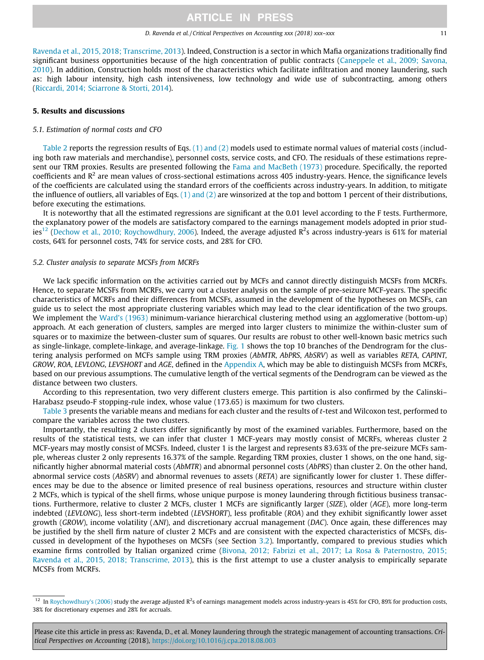[Ravenda et al., 2015, 2018; Transcrime, 2013\)](#page-19-0). Indeed, Construction is a sector in which Mafia organizations traditionally find significant business opportunities because of the high concentration of public contracts ([Caneppele et al., 2009; Savona,](#page-18-0) [2010\)](#page-18-0). In addition, Construction holds most of the characteristics which facilitate infiltration and money laundering, such as: high labour intensity, high cash intensiveness, low technology and wide use of subcontracting, among others ([Riccardi, 2014; Sciarrone & Storti, 2014\)](#page-19-0).

### 5. Results and discussions

### 5.1. Estimation of normal costs and CFO

[Table 2](#page-11-0) reports the regression results of Eqs. [\(1\) and \(2\)](#page-7-0) models used to estimate normal values of material costs (including both raw materials and merchandise), personnel costs, service costs, and CFO. The residuals of these estimations represent our TRM proxies. Results are presented following the [Fama and MacBeth \(1973\)](#page-19-0) procedure. Specifically, the reported coefficients and  $R<sup>2</sup>$  are mean values of cross-sectional estimations across 405 industry-years. Hence, the significance levels of the coefficients are calculated using the standard errors of the coefficients across industry-years. In addition, to mitigate the influence of outliers, all variables of Eqs. [\(1\) and \(2\)](#page-7-0) are winsorized at the top and bottom 1 percent of their distributions, before executing the estimations.

It is noteworthy that all the estimated regressions are significant at the 0.01 level according to the F tests. Furthermore, the explanatory power of the models are satisfactory compared to the earnings management models adopted in prior stud-ies<sup>12</sup> [\(Dechow et al., 2010; Roychowdhury, 2006](#page-18-0)). Indeed, the average adjusted R<sup>2</sup>s across industry-years is 61% for material costs, 64% for personnel costs, 74% for service costs, and 28% for CFO.

### 5.2. Cluster analysis to separate MCSFs from MCRFs

We lack specific information on the activities carried out by MCFs and cannot directly distinguish MCSFs from MCRFs. Hence, to separate MCSFs from MCRFs, we carry out a cluster analysis on the sample of pre-seizure MCF-years. The specific characteristics of MCRFs and their differences from MCSFs, assumed in the development of the hypotheses on MCSFs, can guide us to select the most appropriate clustering variables which may lead to the clear identification of the two groups. We implement the [Ward's \(1963\)](#page-20-0) minimum-variance hierarchical clustering method using an agglomerative (bottom-up) approach. At each generation of clusters, samples are merged into larger clusters to minimize the within-cluster sum of squares or to maximize the between-cluster sum of squares. Our results are robust to other well-known basic metrics such as single-linkage, complete-linkage, and average-linkage. [Fig. 1](#page-11-0) shows the top 10 branches of the Dendrogram for the clustering analysis performed on MCFs sample using TRM proxies (AbMTR, AbPRS, AbSRV) as well as variables RETA, CAPINT, GROW, ROA, LEVLONG, LEVSHORT and AGE, defined in the [Appendix A](#page-17-0), which may be able to distinguish MCSFs from MCRFs, based on our previous assumptions. The cumulative length of the vertical segments of the Dendrogram can be viewed as the distance between two clusters.

According to this representation, two very different clusters emerge. This partition is also confirmed by the Calinski– Harabasz pseudo-F stopping-rule index, whose value (173.65) is maximum for two clusters.

[Table 3](#page-12-0) presents the variable means and medians for each cluster and the results of t-test and Wilcoxon test, performed to compare the variables across the two clusters.

Importantly, the resulting 2 clusters differ significantly by most of the examined variables. Furthermore, based on the results of the statistical tests, we can infer that cluster 1 MCF-years may mostly consist of MCRFs, whereas cluster 2 MCF-years may mostly consist of MCSFs. Indeed, cluster 1 is the largest and represents 83.63% of the pre-seizure MCFs sample, whereas cluster 2 only represents 16.37% of the sample. Regarding TRM proxies, cluster 1 shows, on the one hand, significantly higher abnormal material costs (AbMTR) and abnormal personnel costs (AbPRS) than cluster 2. On the other hand, abnormal service costs (AbSRV) and abnormal revenues to assets (RETA) are significantly lower for cluster 1. These differences may be due to the absence or limited presence of real business operations, resources and structure within cluster 2 MCFs, which is typical of the shell firms, whose unique purpose is money laundering through fictitious business transactions. Furthermore, relative to cluster 2 MCFs, cluster 1 MCFs are significantly larger (SIZE), older (AGE), more long-term indebted (LEVLONG), less short-term indebted (LEVSHORT), less profitable (ROA) and they exhibit significantly lower asset growth (GROW), income volatility  $(\Delta NI)$ , and discretionary accrual management (DAC). Once again, these differences may be justified by the shell firm nature of cluster 2 MCFs and are consistent with the expected characteristics of MCSFs, discussed in development of the hypotheses on MCSFs (see Section [3.2](#page-3-0)). Importantly, compared to previous studies which examine firms controlled by Italian organized crime ([Bivona, 2012; Fabrizi et al., 2017; La Rosa & Paternostro, 2015;](#page-18-0) [Ravenda et al., 2015, 2018; Transcrime, 2013](#page-18-0)), this is the first attempt to use a cluster analysis to empirically separate MCSFs from MCRFs.

<sup>&</sup>lt;sup>12</sup> In [Roychowdhury's \(2006\)](#page-19-0) study the average adjusted  $R^2$ s of earnings management models across industry-years is 45% for CFO, 89% for production costs, 38% for discretionary expenses and 28% for accruals.

Please cite this article in press as: Ravenda, D., et al. Money laundering through the strategic management of accounting transactions. Critical Perspectives on Accounting (2018), <https://doi.org/10.1016/j.cpa.2018.08.003>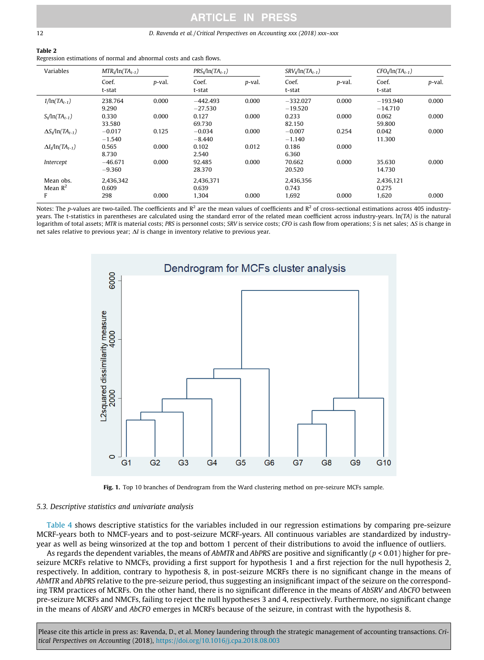#### <span id="page-11-0"></span>12 D. Ravenda et al. / Critical Perspectives on Accounting xxx (2018) xxx–xxx

| Table 2 |                                                                     |  |  |  |  |
|---------|---------------------------------------------------------------------|--|--|--|--|
|         | Regression estimations of normal and abnormal costs and cash flows. |  |  |  |  |

| Variables                        | $MTR_t/ln(TA_{t-1})$  |        | $PRS_t/ln(TA_{t-1})$    |        | $SRV_t/ln(TA_{t-1})$    |        | $CFO_t/ln(TA_{t-1})$    |        |
|----------------------------------|-----------------------|--------|-------------------------|--------|-------------------------|--------|-------------------------|--------|
|                                  | Coef.<br>t-stat       | p-val. | Coef.<br>t-stat         | p-val. | Coef.<br>t-stat         | p-val. | Coef.<br>t-stat         | p-val. |
| $1/ln(TA_{t-1})$                 | 238.764<br>9.290      | 0.000  | $-442.493$<br>$-27.530$ | 0.000  | $-332.027$<br>$-19.520$ | 0.000  | $-193.940$<br>$-14.710$ | 0.000  |
| $S_t/ln(TA_{t-1})$               | 0.330<br>33.580       | 0.000  | 0.127<br>69.730         | 0.000  | 0.233<br>82.150         | 0.000  | 0.062<br>59.800         | 0.000  |
| $\Delta S_t/\ln(TA_{t-1})$       | $-0.017$<br>$-1.540$  | 0.125  | $-0.034$<br>$-8.440$    | 0.000  | $-0.007$<br>$-1.140$    | 0.254  | 0.042<br>11.300         | 0.000  |
| $\Delta I_t / \ln(TA_{t-1})$     | 0.565<br>8.730        | 0.000  | 0.102<br>2.540          | 0.012  | 0.186<br>6.360          | 0.000  |                         |        |
| Intercept                        | $-46.671$<br>$-9.360$ | 0.000  | 92.485<br>28.370        | 0.000  | 70.662<br>20.520        | 0.000  | 35.630<br>14.730        | 0.000  |
| Mean obs.<br>Mean $\mathbb{R}^2$ | 2.436.342<br>0.609    |        | 2.436.371<br>0.639      |        | 2.436.356<br>0.743      |        | 2,436,121<br>0.275      |        |
| F                                | 298                   | 0.000  | 1,304                   | 0.000  | 1,692                   | 0.000  | 1,620                   | 0.000  |

Notes: The p-values are two-tailed. The coefficients and  $R^2$  are the mean values of coefficients and  $R^2$  of cross-sectional estimations across 405 industryyears. The t-statistics in parentheses are calculated using the standard error of the related mean coefficient across industry-years. In(TA) is the natural logarithm of total assets; MTR is material costs; PRS is personnel costs; SRV is service costs; CFO is cash flow from operations; S is net sales;  $\Delta S$  is change in net sales relative to previous year;  $\Delta I$  is change in inventory relative to previous year.





#### 5.3. Descriptive statistics and univariate analysis

[Table 4](#page-12-0) shows descriptive statistics for the variables included in our regression estimations by comparing pre-seizure MCRF-years both to NMCF-years and to post-seizure MCRF-years. All continuous variables are standardized by industryyear as well as being winsorized at the top and bottom 1 percent of their distributions to avoid the influence of outliers.

As regards the dependent variables, the means of AbMTR and AbPRS are positive and significantly ( $p < 0.01$ ) higher for preseizure MCRFs relative to NMCFs, providing a first support for hypothesis 1 and a first rejection for the null hypothesis 2, respectively. In addition, contrary to hypothesis 8, in post-seizure MCRFs there is no significant change in the means of AbMTR and AbPRS relative to the pre-seizure period, thus suggesting an insignificant impact of the seizure on the corresponding TRM practices of MCRFs. On the other hand, there is no significant difference in the means of AbSRV and AbCFO between pre-seizure MCRFs and NMCFs, failing to reject the null hypotheses 3 and 4, respectively. Furthermore, no significant change in the means of AbSRV and AbCFO emerges in MCRFs because of the seizure, in contrast with the hypothesis 8.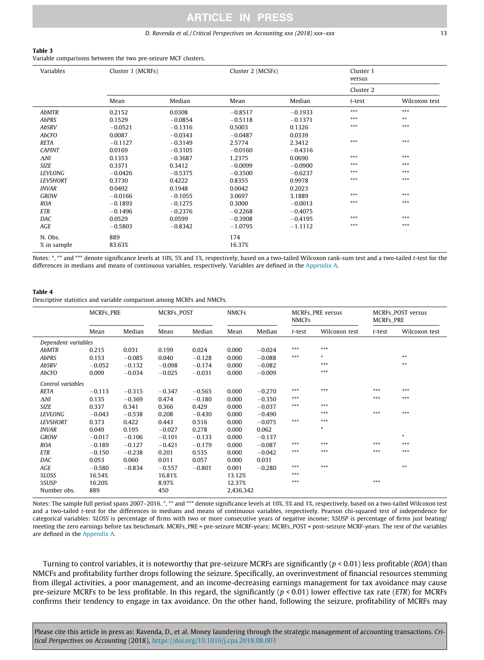#### D. Ravenda et al. / Critical Perspectives on Accounting xxx (2018) xxx–xxx 13

#### <span id="page-12-0"></span>Table 3

Variable comparisons between the two pre-seizure MCF clusters.

| Variables       | Cluster 1 (MCRFs) |           | Cluster 2 (MCSFs) |           | Cluster 1<br>versus |               |
|-----------------|-------------------|-----------|-------------------|-----------|---------------------|---------------|
|                 |                   |           |                   |           | Cluster 2           |               |
|                 | Mean              | Median    | Mean              | Median    | $t$ -test           | Wilcoxon test |
| AbMTR           | 0.2152            | 0.0308    | $-0.8517$         | $-0.1933$ | $***$               | $***$         |
| <b>AbPRS</b>    | 0.1529            | $-0.0854$ | $-0.5118$         | $-0.1371$ | ***                 | $***$         |
| AbSRV           | $-0.0521$         | $-0.1316$ | 0.5003            | 0.1326    | ***                 | ***           |
| AbCFO           | 0.0087            | $-0.0343$ | $-0.0487$         | 0.0339    |                     |               |
| <b>RETA</b>     | $-0.1127$         | $-0.3149$ | 2.5774            | 2.3412    | $***$               | $***$         |
| <b>CAPINT</b>   | 0.0169            | $-0.3105$ | $-0.0160$         | $-0.4316$ |                     |               |
| $\Delta NI$     | 0.1353            | $-0.3687$ | 1.2375            | 0.0690    | $***$               | ***           |
| <b>SIZE</b>     | 0.3371            | 0.3412    | $-0.0099$         | $-0.0900$ | ***                 | ***           |
| <b>LEVLONG</b>  | $-0.0426$         | $-0.5375$ | $-0.3500$         | $-0.6237$ | ***                 | ***           |
| <b>LEVSHORT</b> | 0.3730            | 0.4222    | 0.8355            | 0.9978    | ***                 | $***$         |
| <b>INVAR</b>    | 0.0492            | 0.1948    | 0.0042            | 0.2023    |                     |               |
| <b>GROW</b>     | $-0.0166$         | $-0.1055$ | 3.0697            | 3.1889    | $***$               | ***           |
| <b>ROA</b>      | $-0.1893$         | $-0.1275$ | 0.3000            | $-0.0013$ | ***                 | $***$         |
| ETR             | $-0.1496$         | $-0.2376$ | $-0.2268$         | $-0.4075$ |                     |               |
| DAC             | 0.0529            | 0.0599    | $-0.3908$         | $-0.4195$ | ***                 | ***           |
| AGE             | $-0.5803$         | $-0.8342$ | $-1.0795$         | $-1.1112$ | $***$               | ***           |
| N. Obs.         | 889               |           | 174               |           |                     |               |
| % in sample     | 83.63%            |           | 16.37%            |           |                     |               |

Notes: \*, \*\* and \*\*\* denote significance levels at 10%, 5% and 1%, respectively, based on a two-tailed Wilcoxon rank-sum test and a two-tailed t-test for the differences in medians and means of continuous variables, respectively. Variables are defined in the [Appendix A.](#page-17-0)

#### Table 4

Descriptive statistics and variable comparison among MCRFs and NMCFs.

|                     | <b>MCRFs_PRE</b> |          | MCRFs_POST |          | <b>NMCFs</b>      |          | <b>NMCFs</b> | MCRFs_PRE versus | MCRFs_POST versus<br><b>MCRFs_PRE</b> |               |
|---------------------|------------------|----------|------------|----------|-------------------|----------|--------------|------------------|---------------------------------------|---------------|
|                     | Mean             | Median   | Mean       | Median   | Mean              | Median   | $t$ -test    | Wilcoxon test    | $t$ -test                             | Wilcoxon test |
| Dependent variables |                  |          |            |          |                   |          |              |                  |                                       |               |
| <b>AbMTR</b>        | 0.215            | 0.031    | 0.199      | 0.024    | 0.000             | $-0.024$ | ***          | ***              |                                       |               |
| <b>AbPRS</b>        | 0.153            | $-0.085$ | 0.040      | $-0.128$ | 0.000             | $-0.088$ | $***$        | $\ast$           |                                       | $**$          |
| AbSRV               | $-0.052$         | $-0.132$ | $-0.098$   | $-0.174$ | 0.000             | $-0.082$ |              | ***              |                                       | $***$         |
| AbCFO               | 0.009            | $-0.034$ | $-0.025$   | $-0.031$ | 0.000<br>$-0.009$ |          |              | $***$            |                                       |               |
| Control variables   |                  |          |            |          |                   |          |              |                  |                                       |               |
| <b>RETA</b>         | $-0.113$         | $-0.315$ | $-0.347$   | $-0.565$ | 0.000             | $-0.270$ | ***          | ***              | ***                                   | ***           |
| $\Delta NI$         | 0.135            | $-0.369$ | 0.474      | $-0.180$ | 0.000             | $-0.350$ | $***$        |                  | $***$                                 | $***$         |
| <b>SIZE</b>         | 0.337            | 0.341    | 0.366      | 0.429    | 0.000             | $-0.037$ | $***$        | $***$            |                                       |               |
| <b>LEVLONG</b>      | $-0.043$         | $-0.538$ | 0.208      | $-0.430$ | 0.000             | $-0.490$ |              | $***$            | ***                                   | ***           |
| <b>LEVSHORT</b>     | 0.373            | 0.422    | 0.443      | 0.516    | 0.000             | $-0.075$ | $***$        | $***$            |                                       |               |
| <b>INVAR</b>        | 0.049            | 0.195    | $-0.027$   | 0.278    | 0.000             | 0.062    |              | $\ast$           |                                       |               |
| <b>GROW</b>         | $-0.017$         | $-0.106$ | $-0.101$   | $-0.133$ | 0.000             | $-0.137$ |              |                  |                                       | $\ast$        |
| <b>ROA</b>          | $-0.189$         | $-0.127$ | $-0.421$   | $-0.179$ | 0.000             | $-0.087$ | ***          | $***$            | $***$                                 | ***           |
| ETR                 | $-0.150$         | $-0.238$ | 0.201      | 0.535    | 0.000             | $-0.042$ | $***$        | $***$            | $***$                                 | $***$         |
| DAC                 | 0.053            | 0.060    | 0.011      | 0.057    | 0.000             | 0.031    |              |                  |                                       |               |
| AGE                 | $-0.580$         | $-0.834$ | $-0.557$   | $-0.801$ | 0.001             | $-0.280$ | $***$        | $***$            |                                       | $* *$         |
| %LOSS               | 16.54%           |          | 16.81%     |          | 13.12%            |          | $***$        |                  |                                       |               |
| %SUSP               | 16.20%           |          | 8.97%      |          | 12.37%            |          | $***$        |                  | $***$                                 |               |
| Number obs.         | 889              |          | 450        |          | 2,436,342         |          |              |                  |                                       |               |

Notes: The sample full period spans 2007-2016. \*, \*\* and \*\*\* denote significance levels at 10%, 5% and 1%, respectively, based on a two-tailed Wilcoxon test and a two-tailed t-test for the differences in medians and means of continuous variables, respectively. Pearson chi-squared test of independence for categorical variables: %LOSS is percentage of firms with two or more consecutive years of negative income; %SUSP is percentage of firms just beating/ meeting the zero earnings before tax benchmark. MCRFs\_PRE = pre-seizure MCRF-years; MCRFs\_POST = post-seizure MCRF-years. The rest of the variables are defined in the [Appendix A.](#page-17-0)

Turning to control variables, it is noteworthy that pre-seizure MCRFs are significantly ( $p < 0.01$ ) less profitable (ROA) than NMCFs and profitability further drops following the seizure. Specifically, an overinvestment of financial resources stemming from illegal activities, a poor management, and an income-decreasing earnings management for tax avoidance may cause pre-seizure MCRFs to be less profitable. In this regard, the significantly  $(p < 0.01)$  lower effective tax rate (ETR) for MCRFs confirms their tendency to engage in tax avoidance. On the other hand, following the seizure, profitability of MCRFs may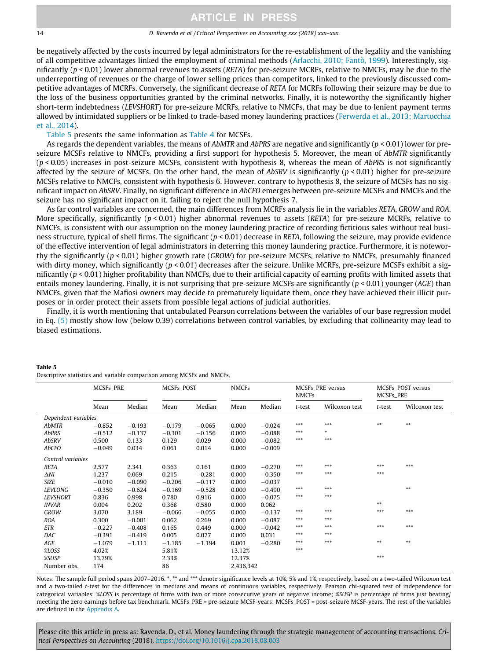#### <span id="page-13-0"></span>14 D. Ravenda et al. / Critical Perspectives on Accounting xxx (2018) xxx–xxx

be negatively affected by the costs incurred by legal administrators for the re-establishment of the legality and the vanishing of all competitive advantages linked the employment of criminal methods ([Arlacchi, 2010; Fantò, 1999\)](#page-18-0). Interestingly, significantly ( $p < 0.01$ ) lower abnormal revenues to assets (RETA) for pre-seizure MCRFs, relative to NMCFs, may be due to the underreporting of revenues or the charge of lower selling prices than competitors, linked to the previously discussed competitive advantages of MCRFs. Conversely, the significant decrease of RETA for MCRFs following their seizure may be due to the loss of the business opportunities granted by the criminal networks. Finally, it is noteworthy the significantly higher short-term indebtedness (LEVSHORT) for pre-seizure MCRFs, relative to NMCFs, that may be due to lenient payment terms allowed by intimidated suppliers or be linked to trade-based money laundering practices [\(Ferwerda et al., 2013; Martocchia](#page-19-0) [et al., 2014](#page-19-0)).

Table 5 presents the same information as [Table 4](#page-12-0) for MCSFs.

As regards the dependent variables, the means of AbMTR and AbPRS are negative and significantly ( $p < 0.01$ ) lower for preseizure MCSFs relative to NMCFs, providing a first support for hypothesis 5. Moreover, the mean of AbMTR significantly  $(p < 0.05)$  increases in post-seizure MCSFs, consistent with hypothesis 8, whereas the mean of AbPRS is not significantly affected by the seizure of MCSFs. On the other hand, the mean of AbSRV is significantly ( $p < 0.01$ ) higher for pre-seizure MCSFs relative to NMCFs, consistent with hypothesis 6. However, contrary to hypothesis 8, the seizure of MCSFs has no significant impact on AbSRV. Finally, no significant difference in AbCFO emerges between pre-seizure MCSFs and NMCFs and the seizure has no significant impact on it, failing to reject the null hypothesis 7.

As far control variables are concerned, the main differences from MCRFs analysis lie in the variables RETA, GROW and ROA. More specifically, significantly ( $p < 0.01$ ) higher abnormal revenues to assets (RETA) for pre-seizure MCRFs, relative to NMCFs, is consistent with our assumption on the money laundering practice of recording fictitious sales without real business structure, typical of shell firms. The significant ( $p < 0.01$ ) decrease in RETA, following the seizure, may provide evidence of the effective intervention of legal administrators in deterring this money laundering practice. Furthermore, it is noteworthy the significantly  $(p < 0.01)$  higher growth rate (GROW) for pre-seizure MCSFs, relative to NMCFs, presumably financed with dirty money, which significantly ( $p < 0.01$ ) decreases after the seizure. Unlike MCRFs, pre-seizure MCSFs exhibit a significantly  $(p < 0.01)$  higher profitability than NMCFs, due to their artificial capacity of earning profits with limited assets that entails money laundering. Finally, it is not surprising that pre-seizure MCSFs are significantly ( $p < 0.01$ ) younger (AGE) than NMCFs, given that the Mafiosi owners may decide to prematurely liquidate them, once they have achieved their illicit purposes or in order protect their assets from possible legal actions of judicial authorities.

Finally, it is worth mentioning that untabulated Pearson correlations between the variables of our base regression model in Eq. [\(5\)](#page-8-0) mostly show low (below 0.39) correlations between control variables, by excluding that collinearity may lead to biased estimations.

|                     | MCSFs_PRE |          | MCSFs_POST |          | <b>NMCFs</b> |          | <b>NMCFs</b> | MCSFs_PRE versus | MCSFs_POST versus<br>MCSFs_PRE |               |
|---------------------|-----------|----------|------------|----------|--------------|----------|--------------|------------------|--------------------------------|---------------|
|                     | Mean      | Median   | Mean       | Median   | Mean         | Median   | t-test       | Wilcoxon test    | t-test                         | Wilcoxon test |
| Dependent variables |           |          |            |          |              |          |              |                  |                                |               |
| AbMTR               | $-0.852$  | $-0.193$ | $-0.179$   | $-0.065$ | 0.000        | $-0.024$ | ***          | ***              | $***$                          | $***$         |
| <b>AbPRS</b>        | $-0.512$  | $-0.137$ | $-0.301$   | $-0.156$ | 0.000        | $-0.088$ | ***          | $\ast$           |                                |               |
| AbSRV               | 0.500     | 0.133    | 0.129      | 0.029    | 0.000        | $-0.082$ | $***$        | $***$            |                                |               |
| AbCFO               | $-0.049$  | 0.034    | 0.061      | 0.014    | 0.000        | $-0.009$ |              |                  |                                |               |
| Control variables   |           |          |            |          |              |          |              |                  |                                |               |
| <b>RETA</b>         | 2.577     | 2.341    | 0.363      | 0.161    | 0.000        | $-0.270$ | ***          | ***              | ***                            | ***           |
| $\Delta NI$         | 1.237     | 0.069    | 0.215      | $-0.281$ | 0.000        | $-0.350$ | ***          | ***              | $***$                          |               |
| SIZE                | $-0.010$  | $-0.090$ | $-0.206$   | $-0.117$ | 0.000        | $-0.037$ |              |                  |                                |               |
| <b>LEVLONG</b>      | $-0.350$  | $-0.624$ | $-0.169$   | $-0.528$ | 0.000        | $-0.490$ | ***          | $***$            |                                | $***$         |
| <b>LEVSHORT</b>     | 0.836     | 0.998    | 0.780      | 0.916    | 0.000        | $-0.075$ | ***          | $***$            |                                |               |
| <b>INVAR</b>        | 0.004     | 0.202    | 0.368      | 0.580    | 0.000        | 0.062    |              |                  | $***$                          |               |
| <b>GROW</b>         | 3.070     | 3.189    | $-0.066$   | $-0.055$ | 0.000        | $-0.137$ | ***          | $***$            | $***$                          | ***           |
| <b>ROA</b>          | 0.300     | $-0.001$ | 0.062      | 0.269    | 0.000        | $-0.087$ | $***$        | $***$            |                                |               |
| ETR                 | $-0.227$  | $-0.408$ | 0.165      | 0.449    | 0.000        | $-0.042$ | ***          | $***$            | $***$                          | $***$         |
| DAC                 | $-0.391$  | $-0.419$ | 0.005      | 0.077    | 0.000        | 0.031    | ***          | $***$            |                                |               |
| AGE                 | $-1.079$  | $-1.111$ | $-1.185$   | $-1.194$ | 0.001        | $-0.280$ | $***$        | ***              | $***$                          | $***$         |
| %LOSS               | 4.02%     |          | 5.81%      |          | 13.12%       |          | $***$        |                  |                                |               |
| %SUSP               | 13.79%    |          | 2.33%      |          | 12.37%       |          |              |                  | $***$                          |               |
| Number obs.         | 174       |          | 86         |          | 2,436,342    |          |              |                  |                                |               |

#### Table 5 Descriptive statistics and variable comparison among MCSFs and NMCFs.

Notes: The sample full period spans 2007–2016. \*, \*\* and \*\*\* denote significance levels at 10%, 5% and 1%, respectively, based on a two-tailed Wilcoxon test and a two-tailed t-test for the differences in medians and means of continuous variables, respectively. Pearson chi-squared test of independence for categorical variables: %LOSS is percentage of firms with two or more consecutive years of negative income; %SUSP is percentage of firms just beating/ meeting the zero earnings before tax benchmark. MCSFs\_PRE = pre-seizure MCSF-years; MCSFs\_POST = post-seizure MCSF-years. The rest of the variables are defined in the [Appendix A.](#page-17-0)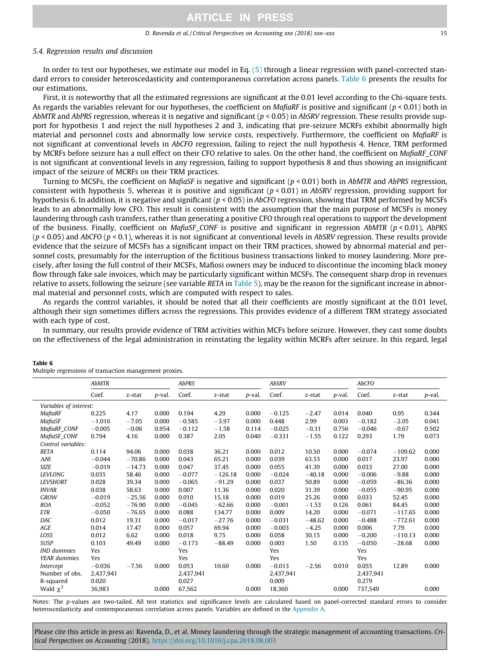## 5.4. Regression results and discussion

In order to test our hypotheses, we estimate our model in Eq. [\(5\)](#page-8-0) through a linear regression with panel-corrected standard errors to consider heteroscedasticity and contemporaneous correlation across panels. Table 6 presents the results for our estimations.

First, it is noteworthy that all the estimated regressions are significant at the 0.01 level according to the Chi-square tests. As regards the variables relevant for our hypotheses, the coefficient on *MafiaRF* is positive and significant ( $p < 0.01$ ) both in AbMTR and AbPRS regression, whereas it is negative and significant ( $p < 0.05$ ) in AbSRV regression. These results provide support for hypothesis 1 and reject the null hypotheses 2 and 3, indicating that pre-seizure MCRFs exhibit abnormally high material and personnel costs and abnormally low service costs, respectively. Furthermore, the coefficient on MafiaRF is not significant at conventional levels in AbCFO regression, failing to reject the null hypothesis 4. Hence, TRM performed by MCRFs before seizure has a null effect on their CFO relative to sales. On the other hand, the coefficient on MafiaRF\_CONF is not significant at conventional levels in any regression, failing to support hypothesis 8 and thus showing an insignificant impact of the seizure of MCRFs on their TRM practices.

Turning to MCSFs, the coefficient on MafiaSF is negative and significant  $(p < 0.01)$  both in AbMTR and AbPRS regression, consistent with hypothesis 5, whereas it is positive and significant ( $p < 0.01$ ) in AbSRV regression, providing support for hypothesis 6. In addition, it is negative and significant ( $p < 0.05$ ) in AbCFO regression, showing that TRM performed by MCSFs leads to an abnormally low CFO. This result is consistent with the assumption that the main purpose of MCSFs is money laundering through cash transfers, rather than generating a positive CFO through real operations to support the development of the business. Finally, coefficient on MafiaSF\_CONF is positive and significant in regression AbMTR ( $p < 0.01$ ), AbPRS  $(p < 0.05)$  and AbCFO ( $p < 0.1$ ), whereas it is not significant at conventional levels in AbSRV regression. These results provide evidence that the seizure of MCSFs has a significant impact on their TRM practices, showed by abnormal material and personnel costs, presumably for the interruption of the fictitious business transactions linked to money laundering. More precisely, after losing the full control of their MCSFs, Mafiosi owners may be induced to discontinue the incoming black money flow through fake sale invoices, which may be particularly significant within MCSFs. The consequent sharp drop in revenues relative to assets, following the seizure (see variable RETA in [Table 5](#page-13-0)), may be the reason for the significant increase in abnormal material and personnel costs, which are computed with respect to sales.

As regards the control variables, it should be noted that all their coefficients are mostly significant at the 0.01 level, although their sign sometimes differs across the regressions. This provides evidence of a different TRM strategy associated with each type of cost.

In summary, our results provide evidence of TRM activities within MCFs before seizure. However, they cast some doubts on the effectiveness of the legal administration in reinstating the legality within MCRFs after seizure. In this regard, legal

|                        | <b>AbMTR</b> |          |        | <b>AbPRS</b> |           |        | <b>AbSRV</b> |          |        | <b>AbCFO</b> |           |        |
|------------------------|--------------|----------|--------|--------------|-----------|--------|--------------|----------|--------|--------------|-----------|--------|
|                        | Coef.        | z-stat   | p-val. | Coef.        | z-stat    | p-val. | Coef.        | z-stat   | p-val. | Coef.        | z-stat    | p-val. |
| Variables of interest: |              |          |        |              |           |        |              |          |        |              |           |        |
| MafiaRF                | 0.225        | 4.17     | 0.000  | 0.194        | 4.29      | 0.000  | $-0.125$     | $-2.47$  | 0.014  | 0.040        | 0.95      | 0.344  |
| MafiaSF                | $-1.016$     | $-7.05$  | 0.000  | $-0.585$     | $-3.97$   | 0.000  | 0.448        | 2.99     | 0.003  | $-0.182$     | $-2.05$   | 0.041  |
| MafiaRF CONF           | $-0.005$     | $-0.06$  | 0.954  | $-0.112$     | $-1.58$   | 0.114  | $-0.025$     | $-0.31$  | 0.756  | $-0.046$     | $-0.67$   | 0.502  |
| MafiaSF CONF           | 0.794        | 4.16     | 0.000  | 0.387        | 2.05      | 0.040  | $-0.331$     | $-1.55$  | 0.122  | 0.293        | 1.79      | 0.073  |
| Control variables:     |              |          |        |              |           |        |              |          |        |              |           |        |
| <b>RETA</b>            | 0.114        | 94.06    | 0.000  | 0.038        | 36.21     | 0.000  | 0.012        | 10.50    | 0.000  | $-0.074$     | $-109.62$ | 0.000  |
| $\Delta NI$            | $-0.044$     | $-70.86$ | 0.000  | 0.043        | 65.21     | 0.000  | 0.039        | 63.53    | 0.000  | 0.017        | 23.97     | 0.000  |
| <b>SIZE</b>            | $-0.019$     | $-14.73$ | 0.000  | 0.047        | 37.45     | 0.000  | 0.055        | 41.39    | 0.000  | 0.033        | 27.00     | 0.000  |
| <b>LEVLONG</b>         | 0.035        | 58.46    | 0.000  | $-0.077$     | $-126.18$ | 0.000  | $-0.024$     | $-40.18$ | 0.000  | $-0.006$     | $-9.88$   | 0.000  |
| <b>LEVSHORT</b>        | 0.028        | 39.34    | 0.000  | $-0.065$     | $-91.29$  | 0.000  | 0.037        | 50.89    | 0.000  | $-0.059$     | $-86.36$  | 0.000  |
| <b>INVAR</b>           | 0.038        | 58.63    | 0.000  | 0.007        | 11.36     | 0.000  | 0.020        | 31.39    | 0.000  | $-0.055$     | $-90.95$  | 0.000  |
| <b>GROW</b>            | $-0.019$     | $-25.56$ | 0.000  | 0.010        | 15.18     | 0.000  | 0.019        | 25.26    | 0.000  | 0.033        | 52.45     | 0.000  |
| <b>ROA</b>             | $-0.052$     | $-76.90$ | 0.000  | $-0.045$     | $-62.66$  | 0.000  | $-0.001$     | $-1.53$  | 0.126  | 0.061        | 84.45     | 0.000  |
| <b>ETR</b>             | $-0.050$     | $-76.65$ | 0.000  | 0.088        | 134.77    | 0.000  | 0.009        | 14.20    | 0.000  | $-0.071$     | $-117.65$ | 0.000  |
| DAC                    | 0.012        | 19.31    | 0.000  | $-0.017$     | $-27.76$  | 0.000  | $-0.031$     | $-48.62$ | 0.000  | $-0.488$     | $-772.61$ | 0.000  |
| AGE                    | 0.014        | 17.47    | 0.000  | 0.057        | 69.94     | 0.000  | $-0.003$     | $-4.25$  | 0.000  | 0.006        | 7.79      | 0.000  |
| LOSS                   | 0.012        | 6.62     | 0.000  | 0.018        | 9.75      | 0.000  | 0.058        | 30.15    | 0.000  | $-0.200$     | $-110.13$ | 0.000  |
| <b>SUSP</b>            | 0.103        | 49.49    | 0.000  | $-0.173$     | $-88.49$  | 0.000  | 0.003        | 1.50     | 0.135  | $-0.050$     | $-28.68$  | 0.000  |
| <b>IND</b> dummies     | Yes          |          |        | Yes          |           |        | Yes          |          |        | Yes          |           |        |
| <b>YEAR</b> dummies    | Yes          |          |        | Yes          |           |        | Yes          |          |        | Yes          |           |        |
| Intercept              | $-0.036$     | $-7.56$  | 0.000  | 0.053        | 10.60     | 0.000  | $-0.013$     | $-2.56$  | 0.010  | 0.055        | 12.89     | 0.000  |
| Number of obs.         | 2,437,941    |          |        | 2,437,941    |           |        | 2,437,941    |          |        | 2,437,941    |           |        |
| R-squared              | 0.020        |          |        | 0.027        |           |        | 0.009        |          |        | 0.279        |           |        |
| Wald $\chi^2$          | 36,983       |          | 0.000  | 67,562       |           | 0.000  | 18,360       |          | 0.000  | 737,549      |           | 0.000  |

### Table 6

Multiple regressions of transaction management proxies.

Notes: The p-values are two-tailed. All test statistics and significance levels are calculated based on panel-corrected standard errors to consider heteroscedasticity and contemporaneous correlation across panels. Variables are defined in the [Appendix A.](#page-17-0)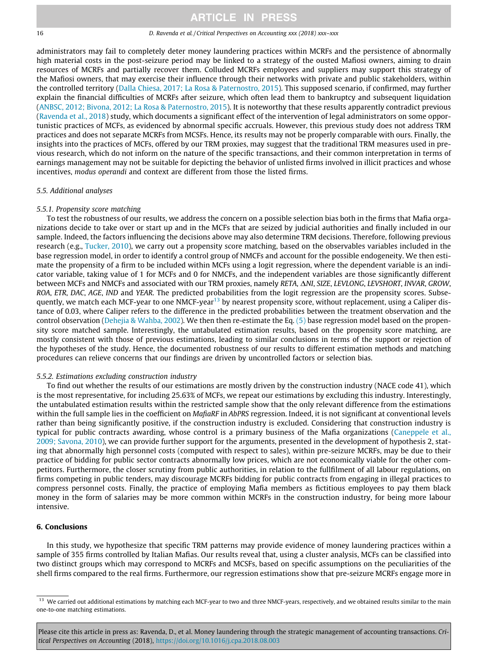#### 16 D. Ravenda et al. / Critical Perspectives on Accounting xxx (2018) xxx–xxx

administrators may fail to completely deter money laundering practices within MCRFs and the persistence of abnormally high material costs in the post-seizure period may be linked to a strategy of the ousted Mafiosi owners, aiming to drain resources of MCRFs and partially recover them. Colluded MCRFs employees and suppliers may support this strategy of the Mafiosi owners, that may exercise their influence through their networks with private and public stakeholders, within the controlled territory ([Dalla Chiesa, 2017; La Rosa & Paternostro, 2015](#page-18-0)). This supposed scenario, if confirmed, may further explain the financial difficulties of MCRFs after seizure, which often lead them to bankruptcy and subsequent liquidation [\(ANBSC, 2012; Bivona, 2012; La Rosa & Paternostro, 2015](#page-18-0)). It is noteworthy that these results apparently contradict previous [\(Ravenda et al., 2018](#page-19-0)) study, which documents a significant effect of the intervention of legal administrators on some opportunistic practices of MCFs, as evidenced by abnormal specific accruals. However, this previous study does not address TRM practices and does not separate MCRFs from MCSFs. Hence, its results may not be properly comparable with ours. Finally, the insights into the practices of MCFs, offered by our TRM proxies, may suggest that the traditional TRM measures used in previous research, which do not inform on the nature of the specific transactions, and their common interpretation in terms of earnings management may not be suitable for depicting the behavior of unlisted firms involved in illicit practices and whose incentives, modus operandi and context are different from those the listed firms.

#### 5.5. Additional analyses

### 5.5.1. Propensity score matching

To test the robustness of our results, we address the concern on a possible selection bias both in the firms that Mafia organizations decide to take over or start up and in the MCFs that are seized by judicial authorities and finally included in our sample. Indeed, the factors influencing the decisions above may also determine TRM decisions. Therefore, following previous research (e.g., [Tucker, 2010\)](#page-20-0), we carry out a propensity score matching, based on the observables variables included in the base regression model, in order to identify a control group of NMCFs and account for the possible endogeneity. We then estimate the propensity of a firm to be included within MCFs using a logit regression, where the dependent variable is an indicator variable, taking value of 1 for MCFs and 0 for NMCFs, and the independent variables are those significantly different between MCFs and NMCFs and associated with our TRM proxies, namely RETA,  $\Delta N I$ , SIZE, LEVLONG, LEVSHORT, INVAR, GROW, ROA, ETR, DAC, AGE, IND and YEAR. The predicted probabilities from the logit regression are the propensity scores. Subsequently, we match each MCF-year to one NMCF-year<sup>13</sup> by nearest propensity score, without replacement, using a Caliper distance of 0.03, where Caliper refers to the difference in the predicted probabilities between the treatment observation and the control observation ([Dehejia & Wahba, 2002](#page-18-0)). We then then re-estimate the Eq. [\(5\)](#page-8-0) base regression model based on the propensity score matched sample. Interestingly, the untabulated estimation results, based on the propensity score matching, are mostly consistent with those of previous estimations, leading to similar conclusions in terms of the support or rejection of the hypotheses of the study. Hence, the documented robustness of our results to different estimation methods and matching procedures can relieve concerns that our findings are driven by uncontrolled factors or selection bias.

#### 5.5.2. Estimations excluding construction industry

To find out whether the results of our estimations are mostly driven by the construction industry (NACE code 41), which is the most representative, for including 25.63% of MCFs, we repeat our estimations by excluding this industry. Interestingly, the untabulated estimation results within the restricted sample show that the only relevant difference from the estimations within the full sample lies in the coefficient on MafiaRF in AbPRS regression. Indeed, it is not significant at conventional levels rather than being significantly positive, if the construction industry is excluded. Considering that construction industry is typical for public contracts awarding, whose control is a primary business of the Mafia organizations ([Caneppele et al.,](#page-18-0) [2009; Savona, 2010\)](#page-18-0), we can provide further support for the arguments, presented in the development of hypothesis 2, stating that abnormally high personnel costs (computed with respect to sales), within pre-seizure MCRFs, may be due to their practice of bidding for public sector contracts abnormally low prices, which are not economically viable for the other competitors. Furthermore, the closer scrutiny from public authorities, in relation to the fullfilment of all labour regulations, on firms competing in public tenders, may discourage MCRFs bidding for public contracts from engaging in illegal practices to compress personnel costs. Finally, the practice of employing Mafia members as fictitious employees to pay them black money in the form of salaries may be more common within MCRFs in the construction industry, for being more labour intensive.

#### 6. Conclusions

In this study, we hypothesize that specific TRM patterns may provide evidence of money laundering practices within a sample of 355 firms controlled by Italian Mafias. Our results reveal that, using a cluster analysis, MCFs can be classified into two distinct groups which may correspond to MCRFs and MCSFs, based on specific assumptions on the peculiarities of the shell firms compared to the real firms. Furthermore, our regression estimations show that pre-seizure MCRFs engage more in

<sup>&</sup>lt;sup>13</sup> We carried out additional estimations by matching each MCF-year to two and three NMCF-years, respectively, and we obtained results similar to the main one-to-one matching estimations.

Please cite this article in press as: Ravenda, D., et al. Money laundering through the strategic management of accounting transactions. Critical Perspectives on Accounting (2018), <https://doi.org/10.1016/j.cpa.2018.08.003>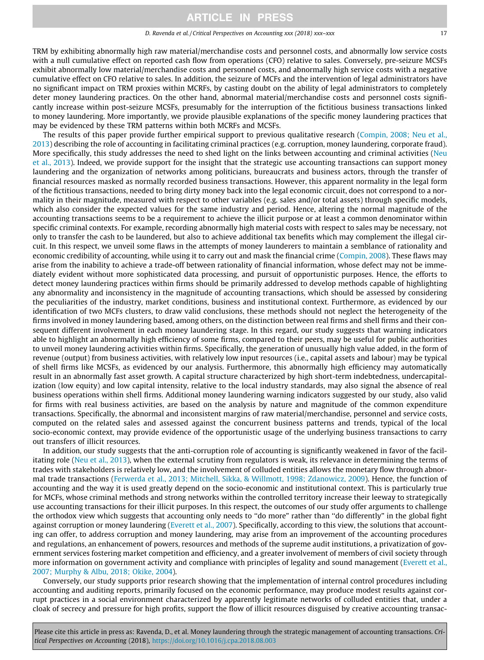#### D. Ravenda et al. / Critical Perspectives on Accounting xxx (2018) xxx–xxx 17

TRM by exhibiting abnormally high raw material/merchandise costs and personnel costs, and abnormally low service costs with a null cumulative effect on reported cash flow from operations (CFO) relative to sales. Conversely, pre-seizure MCSFs exhibit abnormally low material/merchandise costs and personnel costs, and abnormally high service costs with a negative cumulative effect on CFO relative to sales. In addition, the seizure of MCFs and the intervention of legal administrators have no significant impact on TRM proxies within MCRFs, by casting doubt on the ability of legal administrators to completely deter money laundering practices. On the other hand, abnormal material/merchandise costs and personnel costs significantly increase within post-seizure MCSFs, presumably for the interruption of the fictitious business transactions linked to money laundering. More importantly, we provide plausible explanations of the specific money laundering practices that may be evidenced by these TRM patterns within both MCRFs and MCSFs.

The results of this paper provide further empirical support to previous qualitative research [\(Compin, 2008; Neu et al.,](#page-18-0) [2013\)](#page-18-0) describing the role of accounting in facilitating criminal practices (e.g. corruption, money laundering, corporate fraud). More specifically, this study addresses the need to shed light on the links between accounting and criminal activities ([Neu](#page-19-0) [et al., 2013](#page-19-0)). Indeed, we provide support for the insight that the strategic use accounting transactions can support money laundering and the organization of networks among politicians, bureaucrats and business actors, through the transfer of financial resources masked as normally recorded business transactions. However, this apparent normality in the legal form of the fictitious transactions, needed to bring dirty money back into the legal economic circuit, does not correspond to a normality in their magnitude, measured with respect to other variables (e.g. sales and/or total assets) through specific models, which also consider the expected values for the same industry and period. Hence, altering the normal magnitude of the accounting transactions seems to be a requirement to achieve the illicit purpose or at least a common denominator within specific criminal contexts. For example, recording abnormally high material costs with respect to sales may be necessary, not only to transfer the cash to be laundered, but also to achieve additional tax benefits which may complement the illegal circuit. In this respect, we unveil some flaws in the attempts of money launderers to maintain a semblance of rationality and economic credibility of accounting, while using it to carry out and mask the financial crime [\(Compin, 2008](#page-18-0)). These flaws may arise from the inability to achieve a trade-off between rationality of financial information, whose defect may not be immediately evident without more sophisticated data processing, and pursuit of opportunistic purposes. Hence, the efforts to detect money laundering practices within firms should be primarily addressed to develop methods capable of highlighting any abnormality and inconsistency in the magnitude of accounting transactions, which should be assessed by considering the peculiarities of the industry, market conditions, business and institutional context. Furthermore, as evidenced by our identification of two MCFs clusters, to draw valid conclusions, these methods should not neglect the heterogeneity of the firms involved in money laundering based, among others, on the distinction between real firms and shell firms and their consequent different involvement in each money laundering stage. In this regard, our study suggests that warning indicators able to highlight an abnormally high efficiency of some firms, compared to their peers, may be useful for public authorities to unveil money laundering activities within firms. Specifically, the generation of unusually high value added, in the form of revenue (output) from business activities, with relatively low input resources (i.e., capital assets and labour) may be typical of shell firms like MCSFs, as evidenced by our analysis. Furthermore, this abnormally high efficiency may automatically result in an abnormally fast asset growth. A capital structure characterized by high short-term indebtedness, undercapitalization (low equity) and low capital intensity, relative to the local industry standards, may also signal the absence of real business operations within shell firms. Additional money laundering warning indicators suggested by our study, also valid for firms with real business activities, are based on the analysis by nature and magnitude of the common expenditure transactions. Specifically, the abnormal and inconsistent margins of raw material/merchandise, personnel and service costs, computed on the related sales and assessed against the concurrent business patterns and trends, typical of the local socio-economic context, may provide evidence of the opportunistic usage of the underlying business transactions to carry out transfers of illicit resources.

In addition, our study suggests that the anti-corruption role of accounting is significantly weakened in favor of the facilitating role ([Neu et al., 2013\)](#page-19-0), when the external scrutiny from regulators is weak, its relevance in determining the terms of trades with stakeholders is relatively low, and the involvement of colluded entities allows the monetary flow through abnormal trade transactions [\(Ferwerda et al., 2013; Mitchell, Sikka, & Willmott, 1998; Zdanowicz, 2009\)](#page-19-0). Hence, the function of accounting and the way it is used greatly depend on the socio-economic and institutional context. This is particularly true for MCFs, whose criminal methods and strong networks within the controlled territory increase their leeway to strategically use accounting transactions for their illicit purposes. In this respect, the outcomes of our study offer arguments to challenge the orthodox view which suggests that accounting only needs to ''do more" rather than ''do differently" in the global fight against corruption or money laundering ([Everett et al., 2007\)](#page-18-0). Specifically, according to this view, the solutions that accounting can offer, to address corruption and money laundering, may arise from an improvement of the accounting procedures and regulations, an enhancement of powers, resources and methods of the supreme audit institutions, a privatization of government services fostering market competition and efficiency, and a greater involvement of members of civil society through more information on government activity and compliance with principles of legality and sound management ([Everett et al.,](#page-18-0) [2007; Murphy & Albu, 2018; Okike, 2004](#page-18-0)).

Conversely, our study supports prior research showing that the implementation of internal control procedures including accounting and auditing reports, primarily focused on the economic performance, may produce modest results against corrupt practices in a social environment characterized by apparently legitimate networks of colluded entities that, under a cloak of secrecy and pressure for high profits, support the flow of illicit resources disguised by creative accounting transac-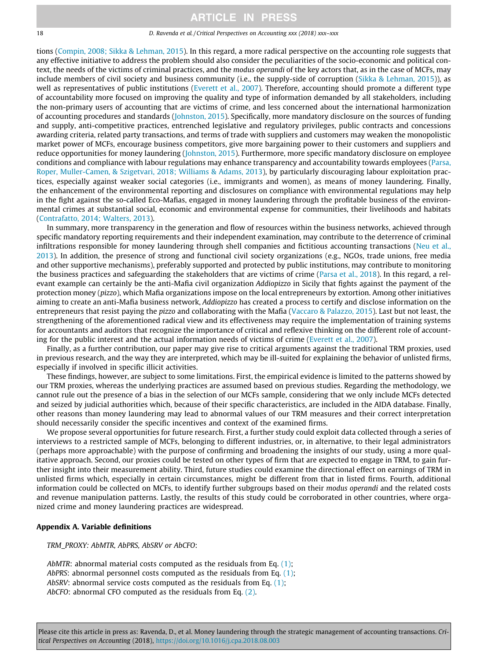#### <span id="page-17-0"></span>18 D. Ravenda et al. / Critical Perspectives on Accounting xxx (2018) xxx–xxx

tions [\(Compin, 2008; Sikka & Lehman, 2015](#page-18-0)). In this regard, a more radical perspective on the accounting role suggests that any effective initiative to address the problem should also consider the peculiarities of the socio-economic and political context, the needs of the victims of criminal practices, and the modus operandi of the key actors that, as in the case of MCFs, may include members of civil society and business community (i.e., the supply-side of corruption [\(Sikka & Lehman, 2015\)](#page-20-0)), as well as representatives of public institutions [\(Everett et al., 2007\)](#page-18-0). Therefore, accounting should promote a different type of accountability more focused on improving the quality and type of information demanded by all stakeholders, including the non-primary users of accounting that are victims of crime, and less concerned about the international harmonization of accounting procedures and standards ([Johnston, 2015\)](#page-19-0). Specifically, more mandatory disclosure on the sources of funding and supply, anti-competitive practices, entrenched legislative and regulatory privileges, public contracts and concessions awarding criteria, related party transactions, and terms of trade with suppliers and customers may weaken the monopolistic market power of MCFs, encourage business competitors, give more bargaining power to their customers and suppliers and reduce opportunities for money laundering ([Johnston, 2015\)](#page-19-0). Furthermore, more specific mandatory disclosure on employee conditions and compliance with labour regulations may enhance transparency and accountability towards employees [\(Parsa,](#page-19-0) [Roper, Muller-Camen, & Szigetvari, 2018; Williams & Adams, 2013](#page-19-0)), by particularly discouraging labour exploitation practices, especially against weaker social categories (i.e., immigrants and women), as means of money laundering. Finally, the enhancement of the environmental reporting and disclosures on compliance with environmental regulations may help in the fight against the so-called Eco-Mafias, engaged in money laundering through the profitable business of the environmental crimes at substantial social, economic and environmental expense for communities, their livelihoods and habitats [\(Contrafatto, 2014; Walters, 2013](#page-18-0)).

In summary, more transparency in the generation and flow of resources within the business networks, achieved through specific mandatory reporting requirements and their independent examination, may contribute to the deterrence of criminal infiltrations responsible for money laundering through shell companies and fictitious accounting transactions [\(Neu et al.,](#page-19-0) [2013](#page-19-0)). In addition, the presence of strong and functional civil society organizations (e.g., NGOs, trade unions, free media and other supportive mechanisms), preferably supported and protected by public institutions, may contribute to monitoring the business practices and safeguarding the stakeholders that are victims of crime [\(Parsa et al., 2018](#page-19-0)). In this regard, a relevant example can certainly be the anti-Mafia civil organization Addiopizzo in Sicily that fights against the payment of the protection money (pizzo), which Mafia organizations impose on the local entrepreneurs by extortion. Among other initiatives aiming to create an anti-Mafia business network, Addiopizzo has created a process to certify and disclose information on the entrepreneurs that resist paying the pizzo and collaborating with the Mafia [\(Vaccaro & Palazzo, 2015](#page-20-0)). Last but not least, the strengthening of the aforementioned radical view and its effectiveness may require the implementation of training systems for accountants and auditors that recognize the importance of critical and reflexive thinking on the different role of accounting for the public interest and the actual information needs of victims of crime [\(Everett et al., 2007\)](#page-18-0).

Finally, as a further contribution, our paper may give rise to critical arguments against the traditional TRM proxies, used in previous research, and the way they are interpreted, which may be ill-suited for explaining the behavior of unlisted firms, especially if involved in specific illicit activities.

These findings, however, are subject to some limitations. First, the empirical evidence is limited to the patterns showed by our TRM proxies, whereas the underlying practices are assumed based on previous studies. Regarding the methodology, we cannot rule out the presence of a bias in the selection of our MCFs sample, considering that we only include MCFs detected and seized by judicial authorities which, because of their specific characteristics, are included in the AIDA database. Finally, other reasons than money laundering may lead to abnormal values of our TRM measures and their correct interpretation should necessarily consider the specific incentives and context of the examined firms.

We propose several opportunities for future research. First, a further study could exploit data collected through a series of interviews to a restricted sample of MCFs, belonging to different industries, or, in alternative, to their legal administrators (perhaps more approachable) with the purpose of confirming and broadening the insights of our study, using a more qualitative approach. Second, our proxies could be tested on other types of firm that are expected to engage in TRM, to gain further insight into their measurement ability. Third, future studies could examine the directional effect on earnings of TRM in unlisted firms which, especially in certain circumstances, might be different from that in listed firms. Fourth, additional information could be collected on MCFs, to identify further subgroups based on their modus operandi and the related costs and revenue manipulation patterns. Lastly, the results of this study could be corroborated in other countries, where organized crime and money laundering practices are widespread.

#### Appendix A. Variable definitions

### TRM\_PROXY: AbMTR, AbPRS, AbSRV or AbCFO:

AbMTR: abnormal material costs computed as the residuals from Eq. [\(1\)](#page-7-0); AbPRS: abnormal personnel costs computed as the residuals from Eq.  $(1)$ ; AbSRV: abnormal service costs computed as the residuals from Eq.  $(1)$ ; AbCFO: abnormal CFO computed as the residuals from Eq. [\(2\).](#page-7-0)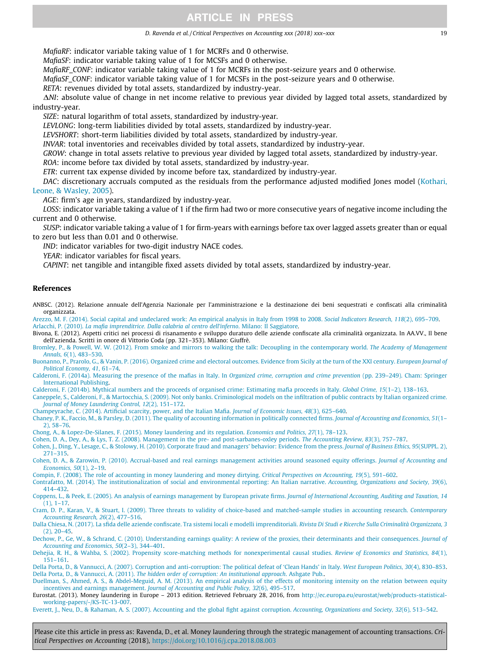#### D. Ravenda et al. / Critical Perspectives on Accounting xxx (2018) xxx–xxx 19

<span id="page-18-0"></span>MafiaRF: indicator variable taking value of 1 for MCRFs and 0 otherwise.

MafiaSF: indicator variable taking value of 1 for MCSFs and 0 otherwise.

MafiaRF\_CONF: indicator variable taking value of 1 for MCRFs in the post-seizure years and 0 otherwise.

MafiaSF\_CONF: indicator variable taking value of 1 for MCSFs in the post-seizure years and 0 otherwise.

RETA: revenues divided by total assets, standardized by industry-year.

 $\Delta$ NI: absolute value of change in net income relative to previous year divided by lagged total assets, standardized by industry-year.

SIZE: natural logarithm of total assets, standardized by industry-year.

LEVLONG: long-term liabilities divided by total assets, standardized by industry-year.

LEVSHORT: short-term liabilities divided by total assets, standardized by industry-year.

INVAR: total inventories and receivables divided by total assets, standardized by industry-year.

GROW: change in total assets relative to previous year divided by lagged total assets, standardized by industry-year.

ROA: income before tax divided by total assets, standardized by industry-year.

ETR: current tax expense divided by income before tax, standardized by industry-year.

DAC: discretionary accruals computed as the residuals from the performance adjusted modified Jones model [\(Kothari,](#page-19-0) [Leone, & Wasley, 2005\)](#page-19-0).

AGE: firm's age in years, standardized by industry-year.

LOSS: indicator variable taking a value of 1 if the firm had two or more consecutive years of negative income including the current and 0 otherwise.

SUSP: indicator variable taking a value of 1 for firm-years with earnings before tax over lagged assets greater than or equal to zero but less than 0.01 and 0 otherwise.

IND: indicator variables for two-digit industry NACE codes.

YEAR: indicator variables for fiscal years.

CAPINT: net tangible and intangible fixed assets divided by total assets, standardized by industry-year.

### References

ANBSC. (2012). Relazione annuale dell'Agenzia Nazionale per l'amministrazione e la destinazione dei beni sequestrati e confiscati alla criminalità organizzata.

[Arezzo, M. F. \(2014\). Social capital and undeclared work: An empirical analysis in Italy from 1998 to 2008.](http://refhub.elsevier.com/S1045-2354(18)30261-2/h0010) Social Indicators Research, 118(2), 695–709.

Arlacchi, P. (2010). [La mafia imprenditrice. Dalla calabria al centro dell'inferno](http://refhub.elsevier.com/S1045-2354(18)30261-2/h0015). Milano: Il Saggiatore. Bivona, E. (2012). Aspetti critici nei processi di risanamento e sviluppo duraturo delle aziende confiscate alla criminalità organizzata. In AA.VV., Il bene

dell'azienda. Scritti in onore di Vittorio Coda (pp. 321–353). Milano: Giuffrè. [Bromley, P., & Powell, W. W. \(2012\). From smoke and mirrors to walking the talk: Decoupling in the contemporary world.](http://refhub.elsevier.com/S1045-2354(18)30261-2/h0025) The Academy of Management Annals, 6[\(1\), 483–530](http://refhub.elsevier.com/S1045-2354(18)30261-2/h0025).

[Buonanno, P., Prarolo, G., & Vanin, P. \(2016\). Organized crime and electoral outcomes. Evidence from Sicily at the turn of the XXI century.](http://refhub.elsevier.com/S1045-2354(18)30261-2/h0030) European Journal of [Political Economy, 41](http://refhub.elsevier.com/S1045-2354(18)30261-2/h0030), 61–74.

[Calderoni, F. \(2014a\). Measuring the presence of the mafias in Italy. In](http://refhub.elsevier.com/S1045-2354(18)30261-2/h0035) Organized crime, corruption and crime prevention (pp. 239–249). Cham: Springer [International Publishing](http://refhub.elsevier.com/S1045-2354(18)30261-2/h0035).

[Calderoni, F. \(2014b\). Mythical numbers and the proceeds of organised crime: Estimating mafia proceeds in Italy.](http://refhub.elsevier.com/S1045-2354(18)30261-2/h0040) Global Crime, 15(1–2), 138–163.

[Caneppele, S., Calderoni, F., & Martocchia, S. \(2009\). Not only banks. Criminological models on the infiltration of public contracts by Italian organized crime.](http://refhub.elsevier.com/S1045-2354(18)30261-2/h0045) [Journal of Money Laundering Control, 12](http://refhub.elsevier.com/S1045-2354(18)30261-2/h0045)(2), 151–172.

[Champeyrache, C. \(2014\). Artificial scarcity, power, and the Italian Mafia.](http://refhub.elsevier.com/S1045-2354(18)30261-2/h0050) Journal of Economic Issues, 48(3), 625–640.<br>Chaney, P. K., Faccio, M., & Parsley, D. (2011). The quality of accounting information in politically [2\), 58–76.](http://refhub.elsevier.com/S1045-2354(18)30261-2/h0055)

[Chong, A., & Lopez-De-Silanes, F. \(2015\). Money laundering and its regulation.](http://refhub.elsevier.com/S1045-2354(18)30261-2/h0060) Economics and Politics, 27(1), 78–123.

[Cohen, D. A., Dey, A., & Lys, T. Z. \(2008\). Management in the pre- and post-sarbanes-oxley periods.](http://refhub.elsevier.com/S1045-2354(18)30261-2/h0065) The Accounting Review, 83(3), 757–787.

[Cohen, J., Ding, Y., Lesage, C., & Stolowy, H. \(2010\). Corporate fraud and managers' behavior: Evidence from the press.](http://refhub.elsevier.com/S1045-2354(18)30261-2/h0070) Journal of Business Ethics, 95(SUPPL. 2), [271–315.](http://refhub.elsevier.com/S1045-2354(18)30261-2/h0070)

[Cohen, D. A., & Zarowin, P. \(2010\). Accrual-based and real earnings management activities around seasoned equity offerings.](http://refhub.elsevier.com/S1045-2354(18)30261-2/h0075) Journal of Accounting and [Economics, 50](http://refhub.elsevier.com/S1045-2354(18)30261-2/h0075)(1), 2–19.

[Compin, F. \(2008\). The role of accounting in money laundering and money dirtying.](http://refhub.elsevier.com/S1045-2354(18)30261-2/h0080) Critical Perspectives on Accounting, 19(5), 591–602.

[Contrafatto, M. \(2014\). The institutionalization of social and environmental reporting: An Italian narrative.](http://refhub.elsevier.com/S1045-2354(18)30261-2/h0085) Accounting, Organizations and Society, 39(6), [414–432.](http://refhub.elsevier.com/S1045-2354(18)30261-2/h0085)

[Coppens, L., & Peek, E. \(2005\). An analysis of earnings management by European private firms.](http://refhub.elsevier.com/S1045-2354(18)30261-2/h0090) Journal of International Accounting, Auditing and Taxation, 14 [\(1\), 1–17](http://refhub.elsevier.com/S1045-2354(18)30261-2/h0090).

[Cram, D. P., Karan, V., & Stuart, I. \(2009\). Three threats to validity of choice-based and matched-sample studies in accounting research.](http://refhub.elsevier.com/S1045-2354(18)30261-2/h0095) Contemporary [Accounting Research, 26](http://refhub.elsevier.com/S1045-2354(18)30261-2/h0095)(2), 477–516.

[Dalla Chiesa, N. \(2017\). La sfida delle aziende confiscate. Tra sistemi locali e modelli imprenditoriali.](http://refhub.elsevier.com/S1045-2354(18)30261-2/h0100) Rivista Di Studi e Ricerche Sulla Criminalità Organizzata, 3 [\(2\), 20–45](http://refhub.elsevier.com/S1045-2354(18)30261-2/h0100).

[Dechow, P., Ge, W., & Schrand, C. \(2010\). Understanding earnings quality: A review of the proxies, their determinants and their consequences.](http://refhub.elsevier.com/S1045-2354(18)30261-2/h0105) Journal of [Accounting and Economics, 50](http://refhub.elsevier.com/S1045-2354(18)30261-2/h0105)(2–3), 344–401.

[Dehejia, R. H., & Wahba, S. \(2002\). Propensity score-matching methods for nonexperimental causal studies.](http://refhub.elsevier.com/S1045-2354(18)30261-2/h0110) Review of Economics and Statistics, 84(1), [151–161.](http://refhub.elsevier.com/S1045-2354(18)30261-2/h0110)

[Della Porta, D., & Vannucci, A. \(2007\). Corruption and anti-corruption: The political defeat of 'Clean Hands' in Italy.](http://refhub.elsevier.com/S1045-2354(18)30261-2/h0115) West European Politics, 30(4), 830–853. Della Porta, D., & Vannucci, A. (2011). [The hidden order of corruption: An institutional approach](http://refhub.elsevier.com/S1045-2354(18)30261-2/h0120). Ashgate Pub..

[Duellman, S., Ahmed, A. S., & Abdel-Meguid, A. M. \(2013\). An empirical analysis of the effects of monitoring intensity on the relation between equity](http://refhub.elsevier.com/S1045-2354(18)30261-2/h0125) incentives and earnings management. [Journal of Accounting and Public Policy, 32](http://refhub.elsevier.com/S1045-2354(18)30261-2/h0125)(6), 495–517.

Eurostat. (2013). Money laundering in Europe – 2013 edition. Retrieved February 28, 2016, from [http://ec.europa.eu/eurostat/web/products-statistical](http://ec.europa.eu/eurostat/web/products-statistical-working-papers/-/KS-TC-13-007)[working-papers/-/KS-TC-13-007](http://ec.europa.eu/eurostat/web/products-statistical-working-papers/-/KS-TC-13-007).

[Everett, J., Neu, D., & Rahaman, A. S. \(2007\). Accounting and the global fight against corruption.](http://refhub.elsevier.com/S1045-2354(18)30261-2/h0135) Accounting, Organizations and Society, 32(6), 513–542.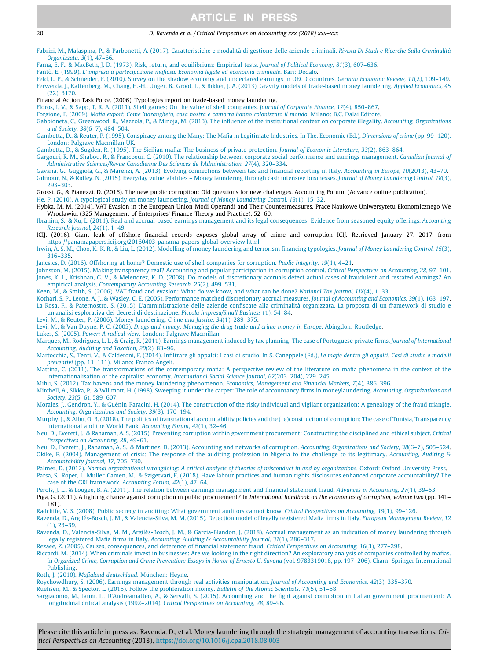#### <span id="page-19-0"></span>20 20 D. Ravenda et al. / Critical Perspectives on Accounting xxx (2018) xxx–xxx

[Fabrizi, M., Malaspina, P., & Parbonetti, A. \(2017\). Caratteristiche e modalità di gestione delle aziende criminali.](http://refhub.elsevier.com/S1045-2354(18)30261-2/h0140) Rivista Di Studi e Ricerche Sulla Criminalità [Organizzata, 3](http://refhub.elsevier.com/S1045-2354(18)30261-2/h0140)(1), 47–66.

[Fama, E. F., & MacBeth, J. D. \(1973\). Risk, return, and equilibrium: Empirical tests.](http://refhub.elsevier.com/S1045-2354(18)30261-2/h0145) Journal of Political Economy, 81(3), 607–636.

Fantò, E. (1999). [L' impresa a partecipazione mafiosa. Economia legale ed economia criminale](http://refhub.elsevier.com/S1045-2354(18)30261-2/h0150). Bari: Dedalo.

[Feld, L. P., & Schneider, F. \(2010\). Survey on the shadow economy and undeclared earnings in OECD countries.](http://refhub.elsevier.com/S1045-2354(18)30261-2/h0155) German Economic Review, 11(2), 109–149. [Ferwerda, J., Kattenberg, M., Chang, H.-H., Unger, B., Groot, L., & Bikker, J. A. \(2013\). Gravity models of trade-based money laundering.](http://refhub.elsevier.com/S1045-2354(18)30261-2/h0160) Applied Economics, 45  $(22)$ , 3170.

Financial Action Task Force. (2006). Typologies report on trade-based money laundering.

[Floros, I. V., & Sapp, T. R. A. \(2011\). Shell games: On the value of shell companies.](http://refhub.elsevier.com/S1045-2354(18)30261-2/h0170) Journal of Corporate Finance, 17(4), 850–867.

Forgione, F. (2009). [Mafia export. Come 'ndrangheta, cosa nostra e camorra hanno colonizzato il mondo](http://refhub.elsevier.com/S1045-2354(18)30261-2/h0175). Milano: B.C. Dalai Editore.

[Gabbioneta, C., Greenwood, R., Mazzola, P., & Minoja, M. \(2013\). The influence of the institutional context on corporate illegality.](http://refhub.elsevier.com/S1045-2354(18)30261-2/h0180) Accounting, Organizations and Society, 38[\(6–7\), 484–504.](http://refhub.elsevier.com/S1045-2354(18)30261-2/h0180)

[Gambetta, D., & Reuter, P. \(1995\). Conspiracy among the Many: The Mafia in Legitimate Industries. In The. Economic \(Ed.\),](http://refhub.elsevier.com/S1045-2354(18)30261-2/h0185) Dimensions of crime (pp. 99–120). [London: Palgrave Macmillan UK.](http://refhub.elsevier.com/S1045-2354(18)30261-2/h0185)

[Gambetta, D., & Sugden, R. \(1995\). The Sicilian mafia: The business of private protection.](http://refhub.elsevier.com/S1045-2354(18)30261-2/h0190) Journal of Economic Literature, 33(2), 863–864.

[Gargouri, R. M., Shabou, R., & Francoeur, C. \(2010\). The relationship between corporate social performance and earnings management.](http://refhub.elsevier.com/S1045-2354(18)30261-2/h0195) Canadian Journal of [Administrative Sciences/Revue Canadienne Des Sciences de l'Administration, 27](http://refhub.elsevier.com/S1045-2354(18)30261-2/h0195)(4), 320–334.

[Gavana, G., Guggiola, G., & Marenzi, A. \(2013\). Evolving connections between tax and financial reporting in Italy.](http://refhub.elsevier.com/S1045-2354(18)30261-2/h0200) Accounting in Europe, 10(2013), 43–70. [Gilmour, N., & Ridley, N. \(2015\). Everyday vulnerabilities – Money laundering through cash intensive businesses.](http://refhub.elsevier.com/S1045-2354(18)30261-2/h0205) Journal of Money Laundering Control, 18(3), [293–303.](http://refhub.elsevier.com/S1045-2354(18)30261-2/h0205)

Grossi, G., & Pianezzi, D. (2016). The new public corruption: Old questions for new challenges. Accounting Forum, (Advance online publication).

[He, P. \(2010\). A typological study on money laundering.](http://refhub.elsevier.com/S1045-2354(18)30261-2/h0215) Journal of Money Laundering Control, 13(1), 15–32. Hybka, M. M. (2014). VAT Evasion in the European Union-Modi Operandi and Their Countermeasures. Prace Naukowe Uniwersytetu Ekonomicznego We Wrocławiu, (325 Management of Enterprises' Finance-Theory and Practice), 52–60.

[Ibrahim, S., & Xu, L. \(2011\). Real and accrual-based earnings management and its legal consequences: Evidence from seasoned equity offerings.](http://refhub.elsevier.com/S1045-2354(18)30261-2/h0225) Accounting [Research Journal, 24](http://refhub.elsevier.com/S1045-2354(18)30261-2/h0225)(1), 1–49.

ICIJ. (2016). Giant leak of offshore financial records exposes global array of crime and corruption ICIJ. Retrieved January 27, 2017, from [https://panamapapers.icij.org/20160403-panama-papers-global-overview.html.](https://panamapapers.icij.org/20160403-panama-papers-global-overview.html)

[Irwin, A. S. M., Choo, K.-K. R., & Liu, L. \(2012\). Modelling of money laundering and terrorism financing typologies.](http://refhub.elsevier.com/S1045-2354(18)30261-2/h0235) Journal of Money Laundering Control, 15(3), [316–335.](http://refhub.elsevier.com/S1045-2354(18)30261-2/h0235)

[Jancsics, D. \(2016\). Offshoring at home? Domestic use of shell companies for corruption.](http://refhub.elsevier.com/S1045-2354(18)30261-2/h0240) Public Integrity, 19(1), 4–21.

[Johnston, M. \(2015\). Making transparency real? Accounting and popular participation in corruption control.](http://refhub.elsevier.com/S1045-2354(18)30261-2/h0245) Critical Perspectives on Accounting, 28, 97–101. [Jones, K. L., Krishnan, G. V., & Melendrez, K. D. \(2008\). Do models of discretionary accruals detect actual cases of fraudulent and restated earnings?](http://refhub.elsevier.com/S1045-2354(18)30261-2/h0250) An empirical analysis. [Contemporary Accounting Research, 25](http://refhub.elsevier.com/S1045-2354(18)30261-2/h0250)(2), 499–531.

[Keen, M., & Smith, S. \(2006\). VAT fraud and evasion: What do we know, and what can be done?](http://refhub.elsevier.com/S1045-2354(18)30261-2/h0255) National Tax Journal, LIX(4), 1–33.

[Kothari, S. P., Leone, A. J., & Wasley, C. E. \(2005\). Performance matched discretionary accrual measures.](http://refhub.elsevier.com/S1045-2354(18)30261-2/h0260) Journal of Accounting and Economics, 39(1), 163–197. [La Rosa, F., & Paternostro, S. \(2015\). L'amministrazione delle aziende confiscate alla criminalità organizzata. La proposta di un framework di studio e](http://refhub.elsevier.com/S1045-2354(18)30261-2/h0265) [un'analisi esplorativa dei decreti di destinazione.](http://refhub.elsevier.com/S1045-2354(18)30261-2/h0265) Piccola Impresa/Small Business (1), 54–84.

[Levi, M., & Reuter, P. \(2006\). Money laundering.](http://refhub.elsevier.com/S1045-2354(18)30261-2/h0270) Crime and Justice, 34(1), 289–375.

Levi, M., & Van Duyne, P. C. (2005). [Drugs and money: Managing the drug trade and crime money in Europe](http://refhub.elsevier.com/S1045-2354(18)30261-2/h0275). Abingdon: Routledge.

Lukes, S. (2005). Power: A radical view[. London: Palgrave Macmillan.](http://refhub.elsevier.com/S1045-2354(18)30261-2/h0280)

[Marques, M., Rodrigues, L. L., & Craig, R. \(2011\). Earnings management induced by tax planning: The case of Portuguese private firms.](http://refhub.elsevier.com/S1045-2354(18)30261-2/h0285) Journal of International [Accounting, Auditing and Taxation, 20](http://refhub.elsevier.com/S1045-2354(18)30261-2/h0285)(2), 83–96.

[Martocchia, S., Tenti, V., & Calderoni, F. \(2014\). Infiltrare gli appalti: I casi di studio. In S. Caneppele \(Ed.\),](http://refhub.elsevier.com/S1045-2354(18)30261-2/h0290) Le mafie dentro gli appalti: Casi di studio e modelli preventivi [\(pp. 11–111\). Milano: Franco Angeli](http://refhub.elsevier.com/S1045-2354(18)30261-2/h0290).

[Mattina, C. \(2011\). The transformations of the contemporary mafia: A perspective review of the literature on mafia phenomena in the context of the](http://refhub.elsevier.com/S1045-2354(18)30261-2/h0295) [internationalisation of the capitalist economy.](http://refhub.elsevier.com/S1045-2354(18)30261-2/h0295) International Social Science Journal, 62(203–204), 229–245.

[Mihu, S. \(2012\). Tax havens and the money laundering phenomenon.](http://refhub.elsevier.com/S1045-2354(18)30261-2/h0300) Economics, Management and Financial Markets, 7(4), 386–396.

[Mitchell, A., Sikka, P., & Willmott, H. \(1998\). Sweeping it under the carpet: The role of accountancy firms in moneylaundering.](http://refhub.elsevier.com/S1045-2354(18)30261-2/h0305) Accounting, Organizations and Society, 23[\(5–6\), 589–607.](http://refhub.elsevier.com/S1045-2354(18)30261-2/h0305)

[Morales, J., Gendron, Y., & Guénin-Paracini, H. \(2014\). The construction of the risky individual and vigilant organization: A genealogy of the fraud](http://refhub.elsevier.com/S1045-2354(18)30261-2/h0310) triangle. [Accounting, Organizations and Society, 39](http://refhub.elsevier.com/S1045-2354(18)30261-2/h0310)(3), 170–194.

[Murphy, J., & Albu, O. B. \(2018\). The politics of transnational accountability policies and the \(re\)construction of corruption: The case of Tunisia,](http://refhub.elsevier.com/S1045-2354(18)30261-2/h0315) Transparency [International and the World Bank.](http://refhub.elsevier.com/S1045-2354(18)30261-2/h0315) Accounting Forum, 42(1), 32–46.

[Neu, D., Everett, J., & Rahaman, A. S. \(2015\). Preventing corruption within government procurement: Constructing the disciplined and ethical subject.](http://refhub.elsevier.com/S1045-2354(18)30261-2/h0320) Critical [Perspectives on Accounting, 28](http://refhub.elsevier.com/S1045-2354(18)30261-2/h0320), 49–61.

[Neu, D., Everett, J., Rahaman, A. S., & Martinez, D. \(2013\). Accounting and networks of corruption.](http://refhub.elsevier.com/S1045-2354(18)30261-2/h0325) Accounting, Organizations and Society, 38(6–7), 505–524. [Okike, E. \(2004\). Management of crisis: The response of the auditing profession in Nigeria to the challenge to its legitimacy.](http://refhub.elsevier.com/S1045-2354(18)30261-2/h0330) Accounting, Auditing & [Accountability Journal, 17](http://refhub.elsevier.com/S1045-2354(18)30261-2/h0330), 705–730.

Palmer, D. (2012). [Normal organizational wrongdoing: A critical analysis of theories of misconduct in and by organizations](http://refhub.elsevier.com/S1045-2354(18)30261-2/h0335). Oxford: Oxford University Press. [Parsa, S., Roper, I., Muller-Camen, M., & Szigetvari, E. \(2018\). Have labour practices and human rights disclosures enhanced corporate accountability? The](http://refhub.elsevier.com/S1045-2354(18)30261-2/h0340) [case of the GRI framework.](http://refhub.elsevier.com/S1045-2354(18)30261-2/h0340) Accounting Forum, 42(1), 47–64.

[Perols, J. L., & Lougee, B. A. \(2011\). The relation between earnings management and financial statement fraud.](http://refhub.elsevier.com/S1045-2354(18)30261-2/h0345) Advances in Accounting, 27(1), 39–53.

Piga, G. (2011). A fighting chance against corruption in public procurement? In International handbook on the economics of corruption, volume two (pp. 141-181).

[Radcliffe, V. S. \(2008\). Public secrecy in auditing: What government auditors cannot know.](http://refhub.elsevier.com/S1045-2354(18)30261-2/h0355) Critical Perspectives on Accounting, 19(1), 99–126.

[Ravenda, D., Argilés-Bosch, J. M., & Valencia-Silva, M. M. \(2015\). Detection model of legally registered Mafia firms in Italy.](http://refhub.elsevier.com/S1045-2354(18)30261-2/h0360) European Management Review, 12 [\(1\), 23–39](http://refhub.elsevier.com/S1045-2354(18)30261-2/h0360).

[Ravenda, D., Valencia-Silva, M. M., Argilés-Bosch, J. M., & Garcia-Blandon, J. \(2018\). Accrual management as an indication of money laundering through](http://refhub.elsevier.com/S1045-2354(18)30261-2/h0365) legally registered Mafia firms in Italy. [Accounting, Auditing & Accountability Journal, 31](http://refhub.elsevier.com/S1045-2354(18)30261-2/h0365)(1), 286–317.

[Rezaee, Z. \(2005\). Causes, consequences, and deterence of financial statement fraud.](http://refhub.elsevier.com/S1045-2354(18)30261-2/h0370) Critical Perspectives on Accounting, 16(3), 277–298.

[Riccardi, M. \(2014\). When criminals invest in businesses: Are we looking in the right direction? An exploratory analysis of companies controlled by mafias.](http://refhub.elsevier.com/S1045-2354(18)30261-2/h0375) In [Organized Crime, Corruption and Crime Prevention: Essays in Honor of Ernesto U. Savona](http://refhub.elsevier.com/S1045-2354(18)30261-2/h0375) (vol. 9783319018, pp. 197–206). Cham: Springer International **Publishing** 

Roth, J. (2010). [Mafialand deutschland](http://refhub.elsevier.com/S1045-2354(18)30261-2/h0380). München: Heyne.

[Roychowdhury, S. \(2006\). Earnings management through real activities manipulation.](http://refhub.elsevier.com/S1045-2354(18)30261-2/h0385) Journal of Accounting and Economics, 42(3), 335–370.

[Ruehsen, M., & Spector, L. \(2015\). Follow the proliferation money.](http://refhub.elsevier.com/S1045-2354(18)30261-2/h0390) Bulletin of the Atomic Scientists, 71(5), 51–58.

[Sargiacomo, M., Ianni, L., D'Andreamatteo, A., & Servalli, S. \(2015\). Accounting and the fight against corruption in Italian government procurement: A](http://refhub.elsevier.com/S1045-2354(18)30261-2/h0395) [longitudinal critical analysis \(1992–2014\).](http://refhub.elsevier.com/S1045-2354(18)30261-2/h0395) Critical Perspectives on Accounting, 28, 89–96.